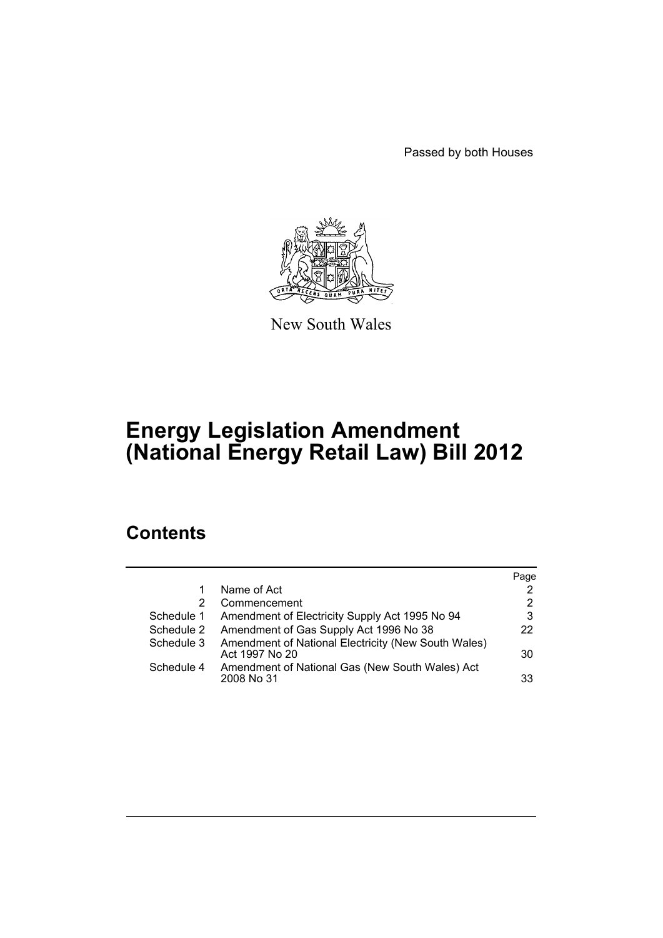Passed by both Houses



New South Wales

# **Energy Legislation Amendment (National Energy Retail Law) Bill 2012**

# **Contents**

|            |                                                                       | Page                  |
|------------|-----------------------------------------------------------------------|-----------------------|
| 1          | Name of Act                                                           | 2                     |
| 2          | Commencement                                                          | $\mathbf{2}^{\prime}$ |
| Schedule 1 | Amendment of Electricity Supply Act 1995 No 94                        | 3                     |
| Schedule 2 | Amendment of Gas Supply Act 1996 No 38                                | 22                    |
| Schedule 3 | Amendment of National Electricity (New South Wales)<br>Act 1997 No 20 | 30                    |
| Schedule 4 | Amendment of National Gas (New South Wales) Act<br>2008 No 31         | 33                    |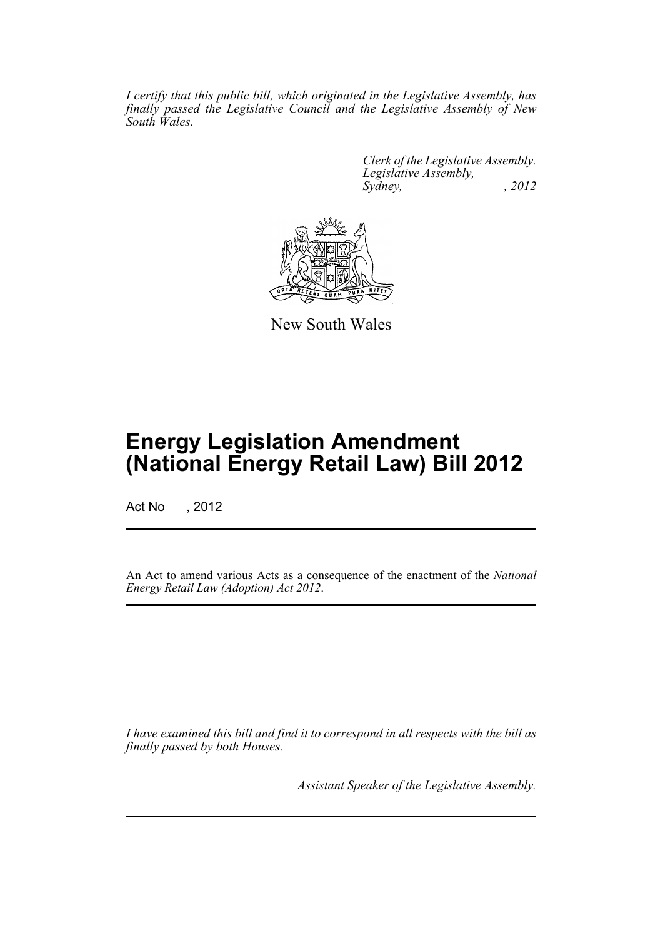*I certify that this public bill, which originated in the Legislative Assembly, has finally passed the Legislative Council and the Legislative Assembly of New South Wales.*

> *Clerk of the Legislative Assembly. Legislative Assembly, Sydney, , 2012*



New South Wales

# **Energy Legislation Amendment (National Energy Retail Law) Bill 2012**

Act No , 2012

An Act to amend various Acts as a consequence of the enactment of the *National Energy Retail Law (Adoption) Act 2012*.

*I have examined this bill and find it to correspond in all respects with the bill as finally passed by both Houses.*

*Assistant Speaker of the Legislative Assembly.*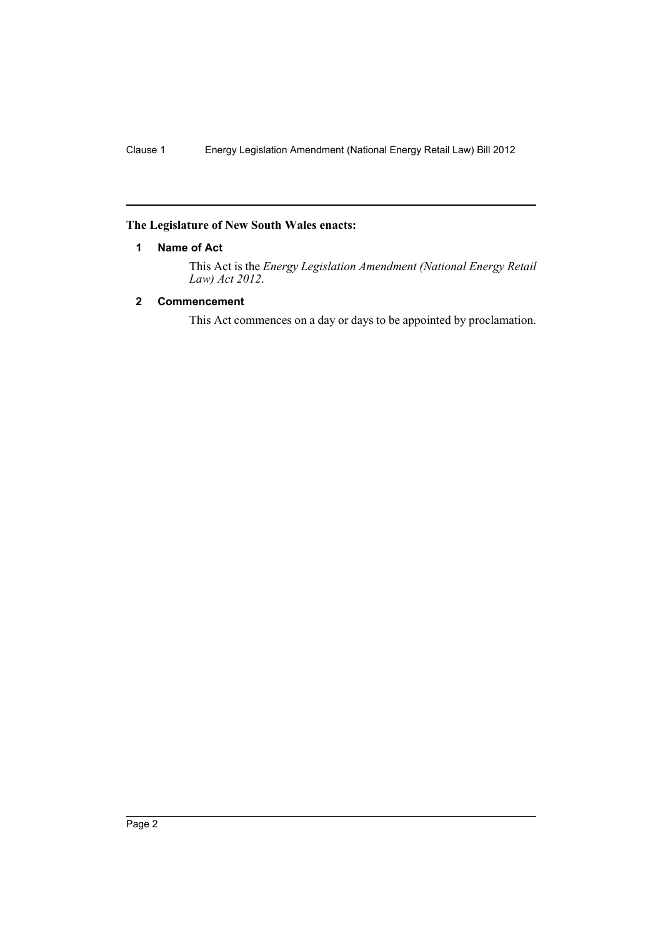### <span id="page-3-0"></span>**The Legislature of New South Wales enacts:**

### **1 Name of Act**

This Act is the *Energy Legislation Amendment (National Energy Retail Law) Act 2012*.

# <span id="page-3-1"></span>**2 Commencement**

This Act commences on a day or days to be appointed by proclamation.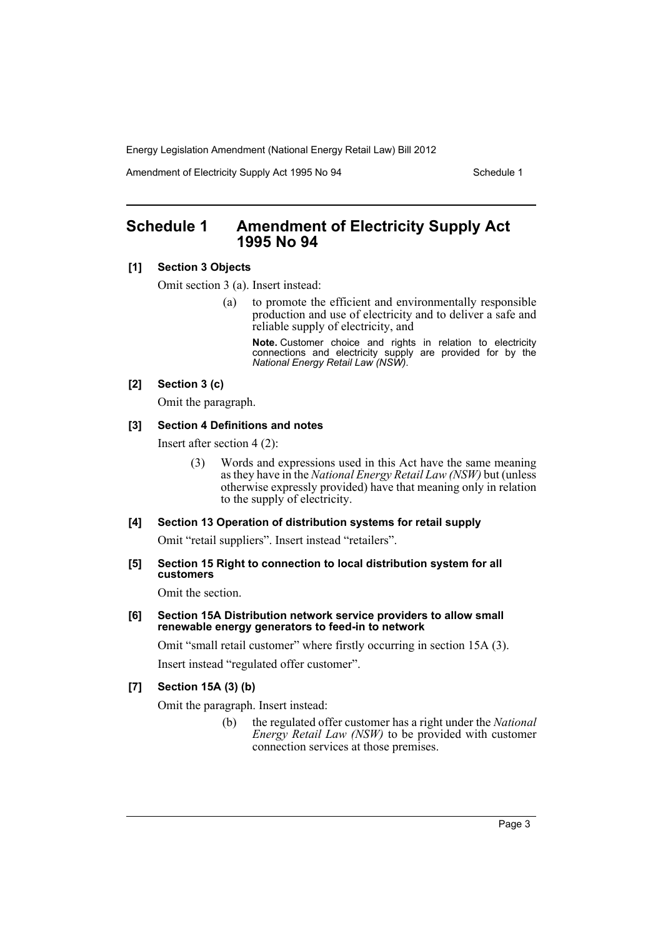Amendment of Electricity Supply Act 1995 No 94 Schedule 1

# <span id="page-4-0"></span>**Schedule 1 Amendment of Electricity Supply Act 1995 No 94**

# **[1] Section 3 Objects**

Omit section 3 (a). Insert instead:

(a) to promote the efficient and environmentally responsible production and use of electricity and to deliver a safe and reliable supply of electricity, and

**Note.** Customer choice and rights in relation to electricity connections and electricity supply are provided for by the *National Energy Retail Law (NSW)*.

# **[2] Section 3 (c)**

Omit the paragraph.

### **[3] Section 4 Definitions and notes**

Insert after section 4 (2):

(3) Words and expressions used in this Act have the same meaning as they have in the *National Energy Retail Law (NSW)* but (unless otherwise expressly provided) have that meaning only in relation to the supply of electricity.

### **[4] Section 13 Operation of distribution systems for retail supply**

Omit "retail suppliers". Insert instead "retailers".

**[5] Section 15 Right to connection to local distribution system for all customers**

Omit the section.

### **[6] Section 15A Distribution network service providers to allow small renewable energy generators to feed-in to network**

Omit "small retail customer" where firstly occurring in section 15A (3). Insert instead "regulated offer customer".

# **[7] Section 15A (3) (b)**

Omit the paragraph. Insert instead:

(b) the regulated offer customer has a right under the *National Energy Retail Law (NSW)* to be provided with customer connection services at those premises.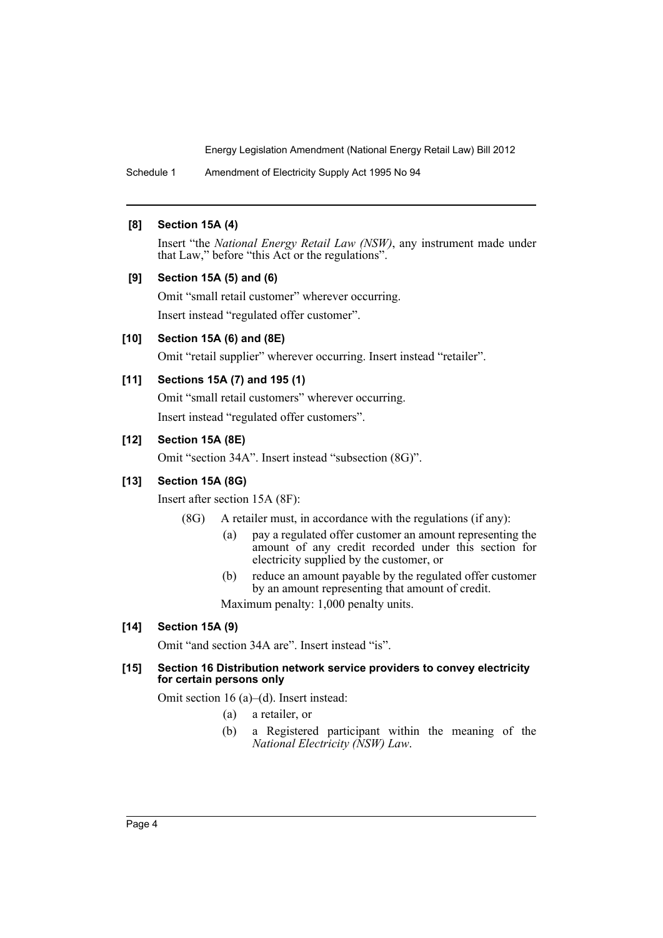Schedule 1 Amendment of Electricity Supply Act 1995 No 94

### **[8] Section 15A (4)**

Insert "the *National Energy Retail Law (NSW)*, any instrument made under that Law," before "this Act or the regulations".

### **[9] Section 15A (5) and (6)**

Omit "small retail customer" wherever occurring. Insert instead "regulated offer customer".

### **[10] Section 15A (6) and (8E)**

Omit "retail supplier" wherever occurring. Insert instead "retailer".

### **[11] Sections 15A (7) and 195 (1)**

Omit "small retail customers" wherever occurring. Insert instead "regulated offer customers".

### **[12] Section 15A (8E)**

Omit "section 34A". Insert instead "subsection (8G)".

### **[13] Section 15A (8G)**

Insert after section 15A (8F):

- (8G) A retailer must, in accordance with the regulations (if any):
	- (a) pay a regulated offer customer an amount representing the amount of any credit recorded under this section for electricity supplied by the customer, or
	- (b) reduce an amount payable by the regulated offer customer by an amount representing that amount of credit.

Maximum penalty: 1,000 penalty units.

# **[14] Section 15A (9)**

Omit "and section 34A are". Insert instead "is".

### **[15] Section 16 Distribution network service providers to convey electricity for certain persons only**

Omit section 16 (a)–(d). Insert instead:

- (a) a retailer, or
- (b) a Registered participant within the meaning of the *National Electricity (NSW) Law*.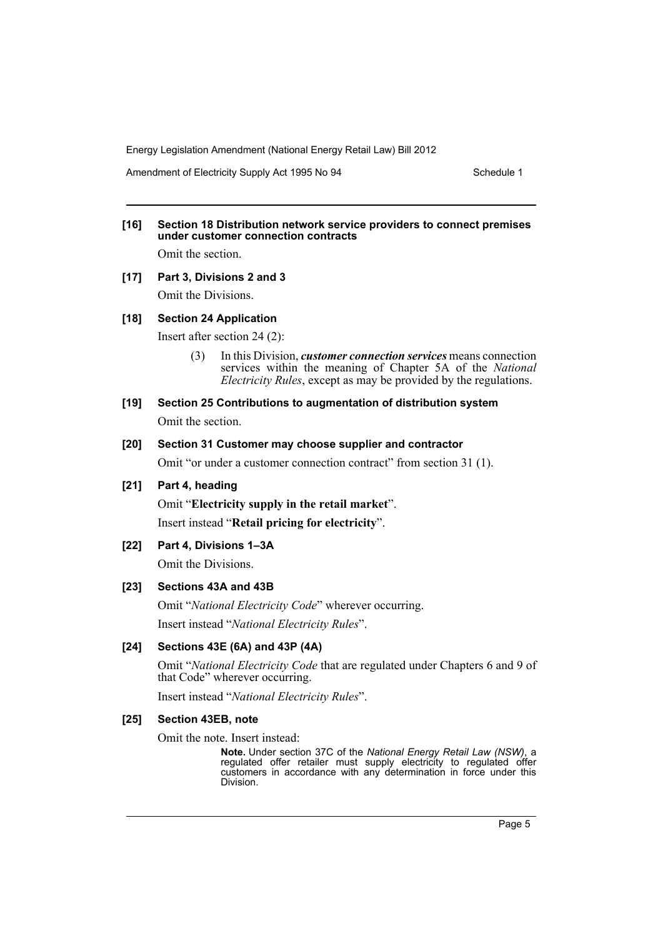Amendment of Electricity Supply Act 1995 No 94 Schedule 1

# **[16] Section 18 Distribution network service providers to connect premises under customer connection contracts**

Omit the section.

# **[17] Part 3, Divisions 2 and 3**

Omit the Divisions.

### **[18] Section 24 Application**

Insert after section 24 (2):

- (3) In this Division, *customer connection services* means connection services within the meaning of Chapter 5A of the *National Electricity Rules*, except as may be provided by the regulations.
- **[19] Section 25 Contributions to augmentation of distribution system** Omit the section.

# **[20] Section 31 Customer may choose supplier and contractor**

Omit "or under a customer connection contract" from section 31 (1).

# **[21] Part 4, heading**

Omit "**Electricity supply in the retail market**". Insert instead "**Retail pricing for electricity**".

# **[22] Part 4, Divisions 1–3A**

Omit the Divisions.

# **[23] Sections 43A and 43B**

Omit "*National Electricity Code*" wherever occurring. Insert instead "*National Electricity Rules*".

# **[24] Sections 43E (6A) and 43P (4A)**

Omit "*National Electricity Code* that are regulated under Chapters 6 and 9 of that Code" wherever occurring.

Insert instead "*National Electricity Rules*".

### **[25] Section 43EB, note**

Omit the note. Insert instead:

**Note.** Under section 37C of the *National Energy Retail Law (NSW)*, a regulated offer retailer must supply electricity to regulated offer customers in accordance with any determination in force under this Division.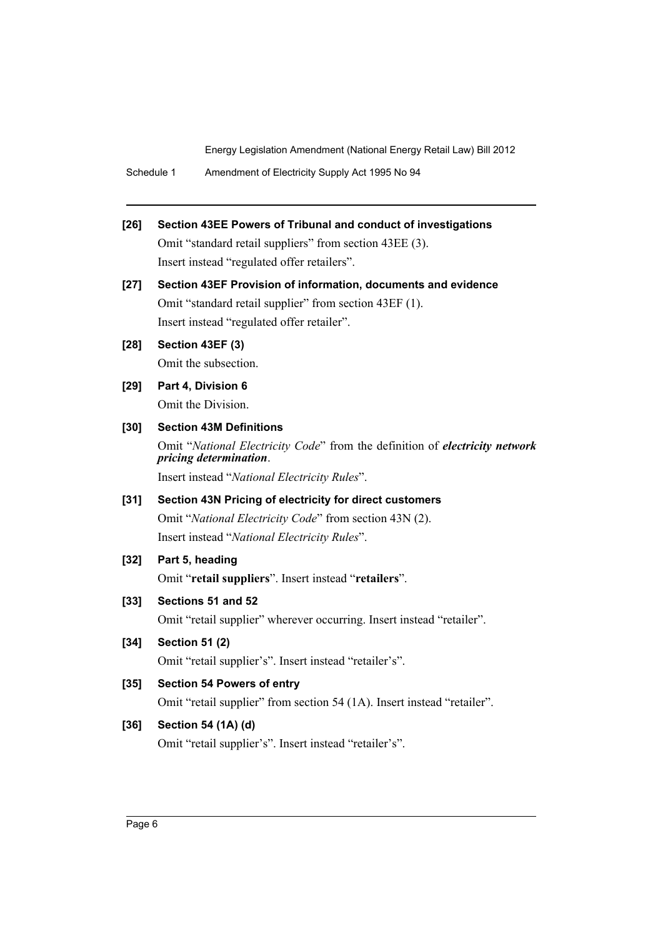Schedule 1 Amendment of Electricity Supply Act 1995 No 94

- **[26] Section 43EE Powers of Tribunal and conduct of investigations** Omit "standard retail suppliers" from section 43EE (3). Insert instead "regulated offer retailers". **[27] Section 43EF Provision of information, documents and evidence** Omit "standard retail supplier" from section 43EF (1). Insert instead "regulated offer retailer". **[28] Section 43EF (3)** Omit the subsection.
- **[29] Part 4, Division 6** Omit the Division.
- **[30] Section 43M Definitions** Omit "*National Electricity Code*" from the definition of *electricity network pricing determination*.

Insert instead "*National Electricity Rules*".

- **[31] Section 43N Pricing of electricity for direct customers** Omit "*National Electricity Code*" from section 43N (2). Insert instead "*National Electricity Rules*".
- **[32] Part 5, heading**

Omit "**retail suppliers**". Insert instead "**retailers**".

**[33] Sections 51 and 52**

Omit "retail supplier" wherever occurring. Insert instead "retailer".

**[34] Section 51 (2)**

Omit "retail supplier's". Insert instead "retailer's".

**[35] Section 54 Powers of entry**

Omit "retail supplier" from section 54 (1A). Insert instead "retailer".

# **[36] Section 54 (1A) (d)**

Omit "retail supplier's". Insert instead "retailer's".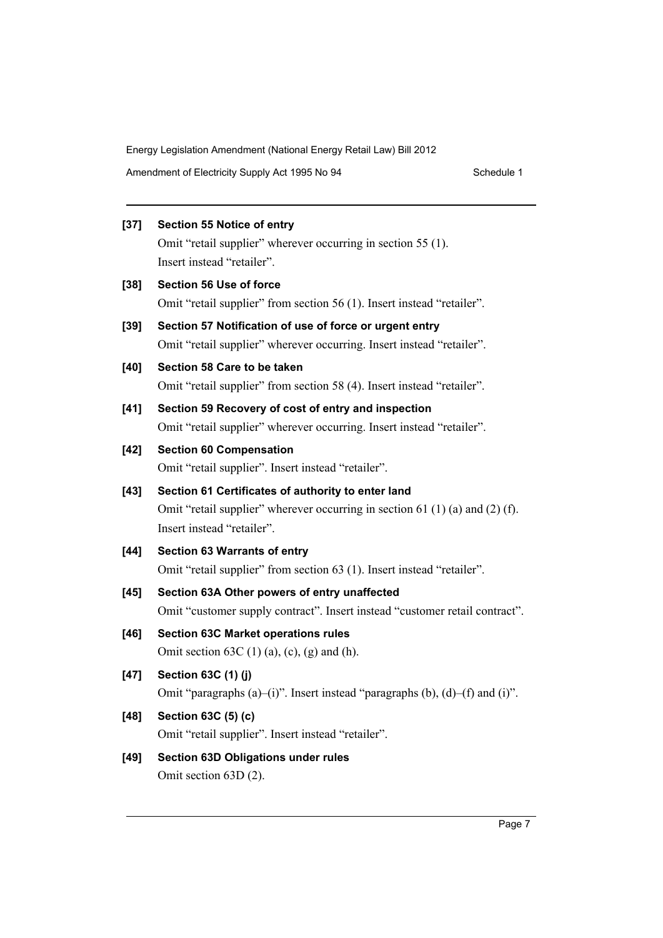Amendment of Electricity Supply Act 1995 No 94 Schedule 1

# **[37] Section 55 Notice of entry** Omit "retail supplier" wherever occurring in section 55 (1). Insert instead "retailer". **[38] Section 56 Use of force** Omit "retail supplier" from section 56 (1). Insert instead "retailer". **[39] Section 57 Notification of use of force or urgent entry** Omit "retail supplier" wherever occurring. Insert instead "retailer". **[40] Section 58 Care to be taken** Omit "retail supplier" from section 58 (4). Insert instead "retailer". **[41] Section 59 Recovery of cost of entry and inspection** Omit "retail supplier" wherever occurring. Insert instead "retailer". **[42] Section 60 Compensation** Omit "retail supplier". Insert instead "retailer". **[43] Section 61 Certificates of authority to enter land** Omit "retail supplier" wherever occurring in section 61 (1) (a) and (2) (f). Insert instead "retailer". **[44] Section 63 Warrants of entry** Omit "retail supplier" from section 63 (1). Insert instead "retailer". **[45] Section 63A Other powers of entry unaffected** Omit "customer supply contract". Insert instead "customer retail contract". **[46] Section 63C Market operations rules** Omit section  $63C(1)$  (a), (c), (g) and (h). **[47] Section 63C (1) (j)** Omit "paragraphs (a)–(i)". Insert instead "paragraphs (b), (d)–(f) and (i)". **[48] Section 63C (5) (c)** Omit "retail supplier". Insert instead "retailer". **[49] Section 63D Obligations under rules**

Omit section 63D (2).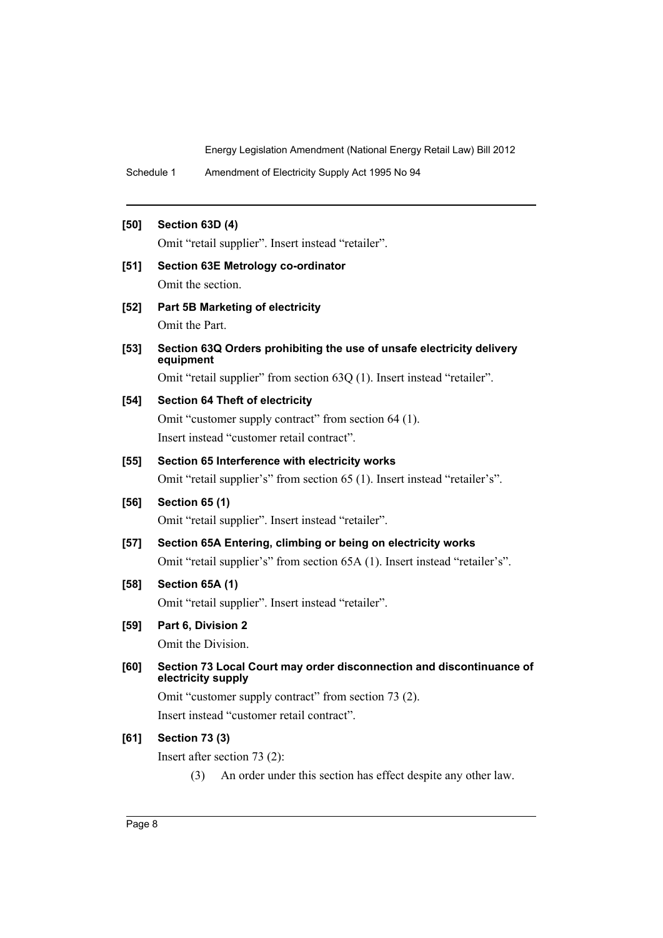Schedule 1 Amendment of Electricity Supply Act 1995 No 94

### **[50] Section 63D (4)**

Omit "retail supplier". Insert instead "retailer".

**[51] Section 63E Metrology co-ordinator**

Omit the section.

**[52] Part 5B Marketing of electricity**

Omit the Part.

**[53] Section 63Q Orders prohibiting the use of unsafe electricity delivery equipment**

Omit "retail supplier" from section 63Q (1). Insert instead "retailer".

### **[54] Section 64 Theft of electricity**

Omit "customer supply contract" from section 64 (1). Insert instead "customer retail contract".

# **[55] Section 65 Interference with electricity works**

Omit "retail supplier's" from section 65 (1). Insert instead "retailer's".

# **[56] Section 65 (1)**

Omit "retail supplier". Insert instead "retailer".

# **[57] Section 65A Entering, climbing or being on electricity works**

Omit "retail supplier's" from section 65A (1). Insert instead "retailer's".

# **[58] Section 65A (1)**

Omit "retail supplier". Insert instead "retailer".

# **[59] Part 6, Division 2**

Omit the Division.

### **[60] Section 73 Local Court may order disconnection and discontinuance of electricity supply**

Omit "customer supply contract" from section 73 (2). Insert instead "customer retail contract".

### **[61] Section 73 (3)**

Insert after section 73 (2):

(3) An order under this section has effect despite any other law.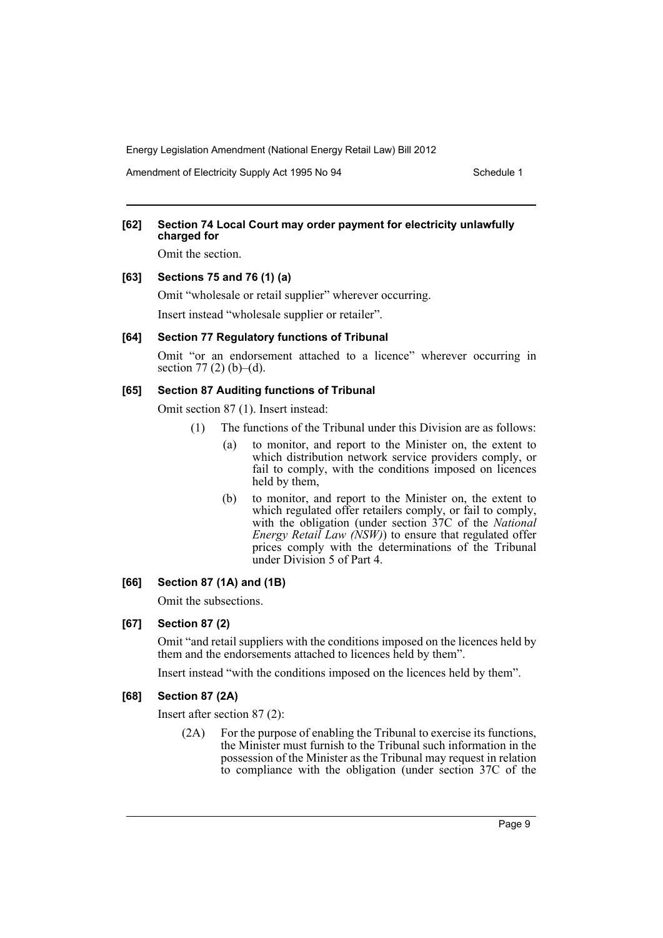Amendment of Electricity Supply Act 1995 No 94 Schedule 1

### **[62] Section 74 Local Court may order payment for electricity unlawfully charged for**

Omit the section.

### **[63] Sections 75 and 76 (1) (a)**

Omit "wholesale or retail supplier" wherever occurring. Insert instead "wholesale supplier or retailer".

### **[64] Section 77 Regulatory functions of Tribunal**

Omit "or an endorsement attached to a licence" wherever occurring in section 77 $(2)$  $(b)$ – $(d)$ .

## **[65] Section 87 Auditing functions of Tribunal**

Omit section 87 (1). Insert instead:

- (1) The functions of the Tribunal under this Division are as follows:
	- (a) to monitor, and report to the Minister on, the extent to which distribution network service providers comply, or fail to comply, with the conditions imposed on licences held by them,
	- (b) to monitor, and report to the Minister on, the extent to which regulated offer retailers comply, or fail to comply, with the obligation (under section 37C of the *National Energy Retail Law (NSW)*) to ensure that regulated offer prices comply with the determinations of the Tribunal under Division 5 of Part 4.

# **[66] Section 87 (1A) and (1B)**

Omit the subsections.

### **[67] Section 87 (2)**

Omit "and retail suppliers with the conditions imposed on the licences held by them and the endorsements attached to licences held by them".

Insert instead "with the conditions imposed on the licences held by them".

### **[68] Section 87 (2A)**

Insert after section 87 (2):

(2A) For the purpose of enabling the Tribunal to exercise its functions, the Minister must furnish to the Tribunal such information in the possession of the Minister as the Tribunal may request in relation to compliance with the obligation (under section 37C of the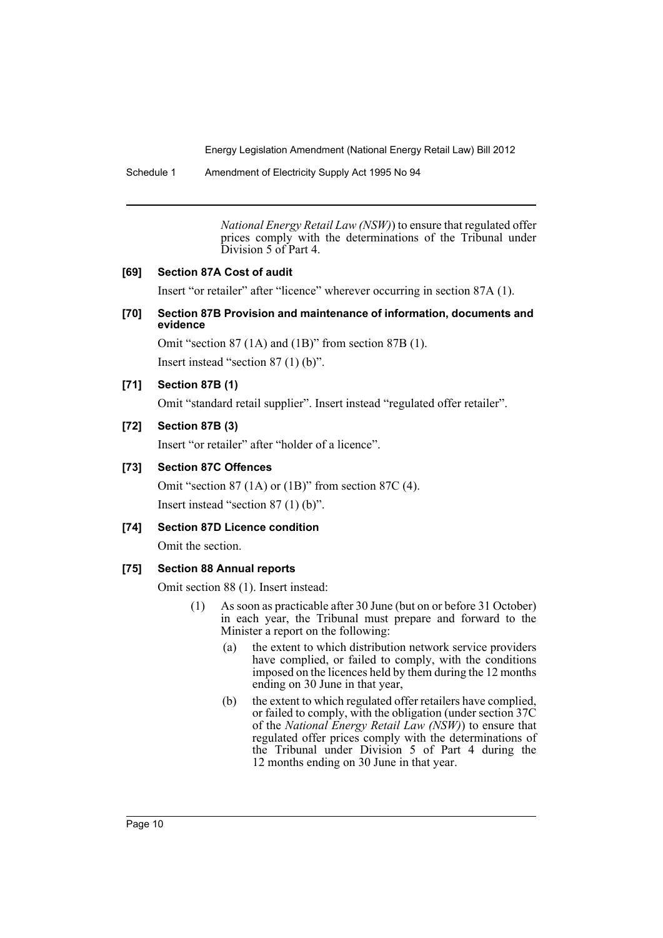Schedule 1 Amendment of Electricity Supply Act 1995 No 94

*National Energy Retail Law (NSW)*) to ensure that regulated offer prices comply with the determinations of the Tribunal under Division 5 of Part 4.

## **[69] Section 87A Cost of audit**

Insert "or retailer" after "licence" wherever occurring in section 87A (1).

### **[70] Section 87B Provision and maintenance of information, documents and evidence**

Omit "section 87 (1A) and (1B)" from section 87B (1).

Insert instead "section 87 (1) (b)".

# **[71] Section 87B (1)**

Omit "standard retail supplier". Insert instead "regulated offer retailer".

### **[72] Section 87B (3)**

Insert "or retailer" after "holder of a licence".

### **[73] Section 87C Offences**

Omit "section 87 (1A) or (1B)" from section 87C (4). Insert instead "section 87 (1) (b)".

### **[74] Section 87D Licence condition**

Omit the section.

# **[75] Section 88 Annual reports**

Omit section 88 (1). Insert instead:

- (1) As soon as practicable after 30 June (but on or before 31 October) in each year, the Tribunal must prepare and forward to the Minister a report on the following:
	- (a) the extent to which distribution network service providers have complied, or failed to comply, with the conditions imposed on the licences held by them during the 12 months ending on 30 June in that year,
	- (b) the extent to which regulated offer retailers have complied, or failed to comply, with the obligation (under section 37C of the *National Energy Retail Law (NSW)*) to ensure that regulated offer prices comply with the determinations of the Tribunal under Division 5 of Part 4 during the 12 months ending on 30 June in that year.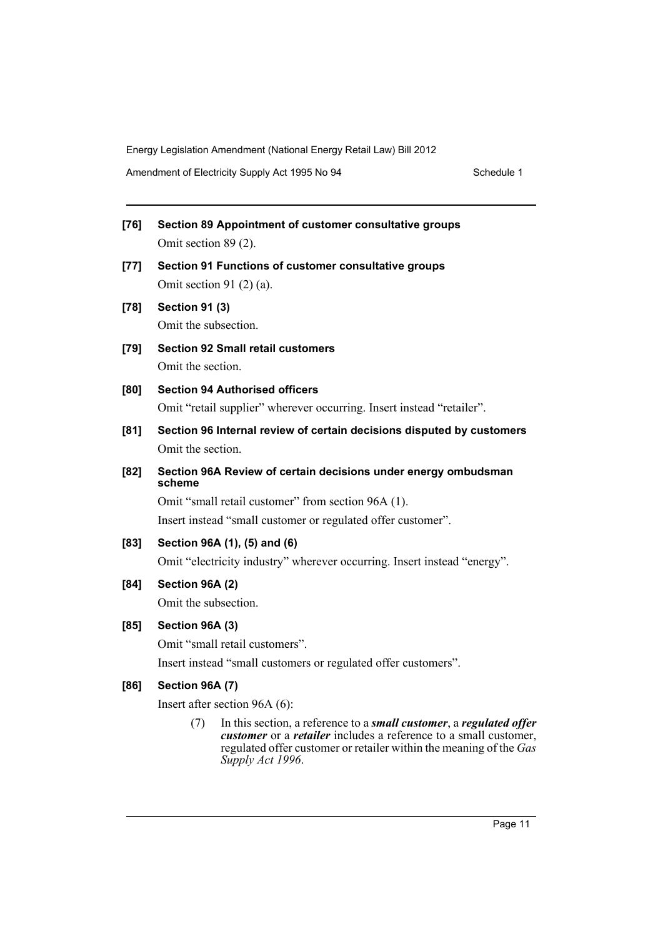Amendment of Electricity Supply Act 1995 No 94 Schedule 1

| $[76]$ | Section 89 Appointment of customer consultative groups |  |
|--------|--------------------------------------------------------|--|
|        | Omit section $89(2)$ .                                 |  |

- **[77] Section 91 Functions of customer consultative groups** Omit section 91 (2) (a).
- **[78] Section 91 (3)** Omit the subsection.
- **[79] Section 92 Small retail customers** Omit the section.
- **[80] Section 94 Authorised officers** Omit "retail supplier" wherever occurring. Insert instead "retailer".
- **[81] Section 96 Internal review of certain decisions disputed by customers** Omit the section.
- **[82] Section 96A Review of certain decisions under energy ombudsman scheme**

Omit "small retail customer" from section 96A (1). Insert instead "small customer or regulated offer customer".

**[83] Section 96A (1), (5) and (6)**

Omit "electricity industry" wherever occurring. Insert instead "energy".

# **[84] Section 96A (2)**

Omit the subsection.

# **[85] Section 96A (3)**

Omit "small retail customers".

Insert instead "small customers or regulated offer customers".

# **[86] Section 96A (7)**

Insert after section 96A (6):

(7) In this section, a reference to a *small customer*, a *regulated offer customer* or a *retailer* includes a reference to a small customer, regulated offer customer or retailer within the meaning of the *Gas Supply Act 1996*.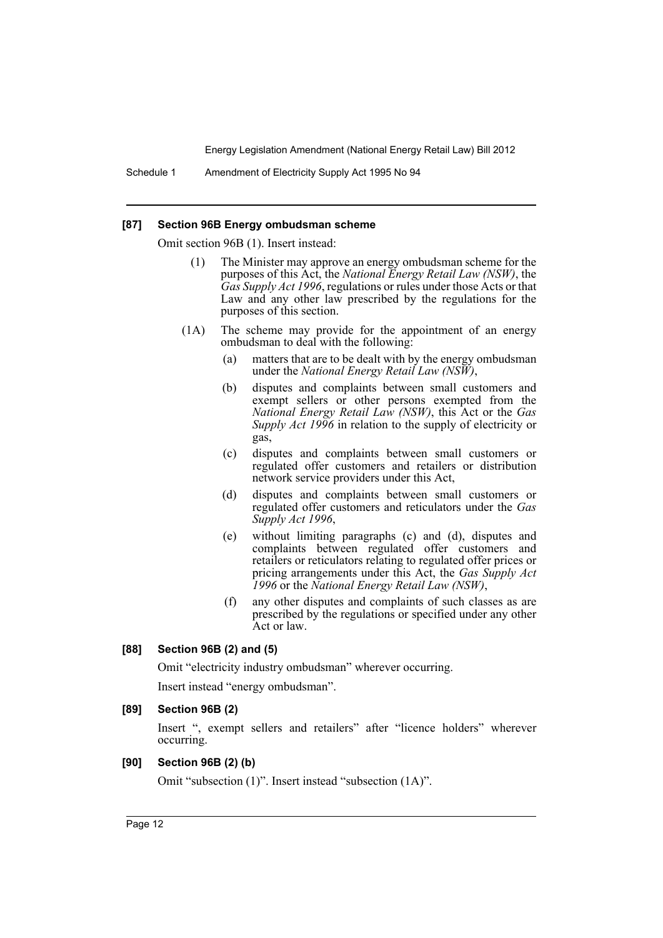Schedule 1 Amendment of Electricity Supply Act 1995 No 94

#### **[87] Section 96B Energy ombudsman scheme**

Omit section 96B (1). Insert instead:

- (1) The Minister may approve an energy ombudsman scheme for the purposes of this Act, the *National Energy Retail Law (NSW)*, the *Gas Supply Act 1996*, regulations or rules under those Acts or that Law and any other law prescribed by the regulations for the purposes of this section.
- (1A) The scheme may provide for the appointment of an energy ombudsman to deal with the following:
	- (a) matters that are to be dealt with by the energy ombudsman under the *National Energy Retail Law (NSW)*,
	- (b) disputes and complaints between small customers and exempt sellers or other persons exempted from the *National Energy Retail Law (NSW)*, this Act or the *Gas Supply Act 1996* in relation to the supply of electricity or gas,
	- (c) disputes and complaints between small customers or regulated offer customers and retailers or distribution network service providers under this Act,
	- (d) disputes and complaints between small customers or regulated offer customers and reticulators under the *Gas Supply Act 1996*,
	- (e) without limiting paragraphs (c) and (d), disputes and complaints between regulated offer customers and retailers or reticulators relating to regulated offer prices or pricing arrangements under this Act, the *Gas Supply Act 1996* or the *National Energy Retail Law (NSW)*,
	- (f) any other disputes and complaints of such classes as are prescribed by the regulations or specified under any other Act or law.

#### **[88] Section 96B (2) and (5)**

Omit "electricity industry ombudsman" wherever occurring.

Insert instead "energy ombudsman".

#### **[89] Section 96B (2)**

Insert ", exempt sellers and retailers" after "licence holders" wherever occurring.

### **[90] Section 96B (2) (b)**

Omit "subsection (1)". Insert instead "subsection (1A)".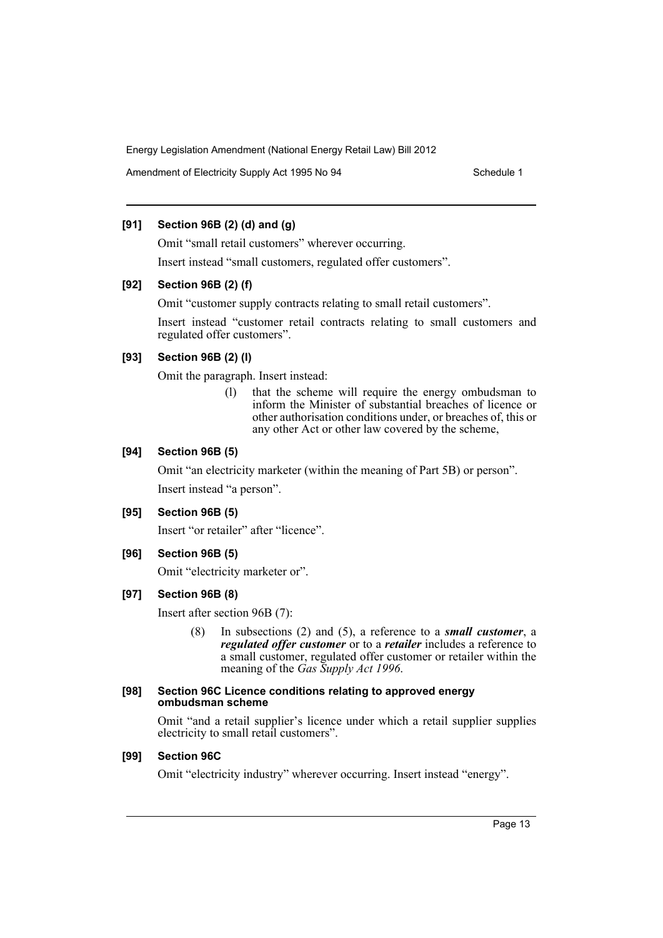Amendment of Electricity Supply Act 1995 No 94 Schedule 1

# **[91] Section 96B (2) (d) and (g)**

Omit "small retail customers" wherever occurring. Insert instead "small customers, regulated offer customers".

# **[92] Section 96B (2) (f)**

Omit "customer supply contracts relating to small retail customers".

Insert instead "customer retail contracts relating to small customers and regulated offer customers".

# **[93] Section 96B (2) (l)**

Omit the paragraph. Insert instead:

(l) that the scheme will require the energy ombudsman to inform the Minister of substantial breaches of licence or other authorisation conditions under, or breaches of, this or any other Act or other law covered by the scheme,

# **[94] Section 96B (5)**

Omit "an electricity marketer (within the meaning of Part 5B) or person". Insert instead "a person".

# **[95] Section 96B (5)**

Insert "or retailer" after "licence".

# **[96] Section 96B (5)**

Omit "electricity marketer or".

# **[97] Section 96B (8)**

Insert after section 96B (7):

(8) In subsections (2) and (5), a reference to a *small customer*, a *regulated offer customer* or to a *retailer* includes a reference to a small customer, regulated offer customer or retailer within the meaning of the *Gas Supply Act 1996*.

### **[98] Section 96C Licence conditions relating to approved energy ombudsman scheme**

Omit "and a retail supplier's licence under which a retail supplier supplies electricity to small retail customers".

# **[99] Section 96C**

Omit "electricity industry" wherever occurring. Insert instead "energy".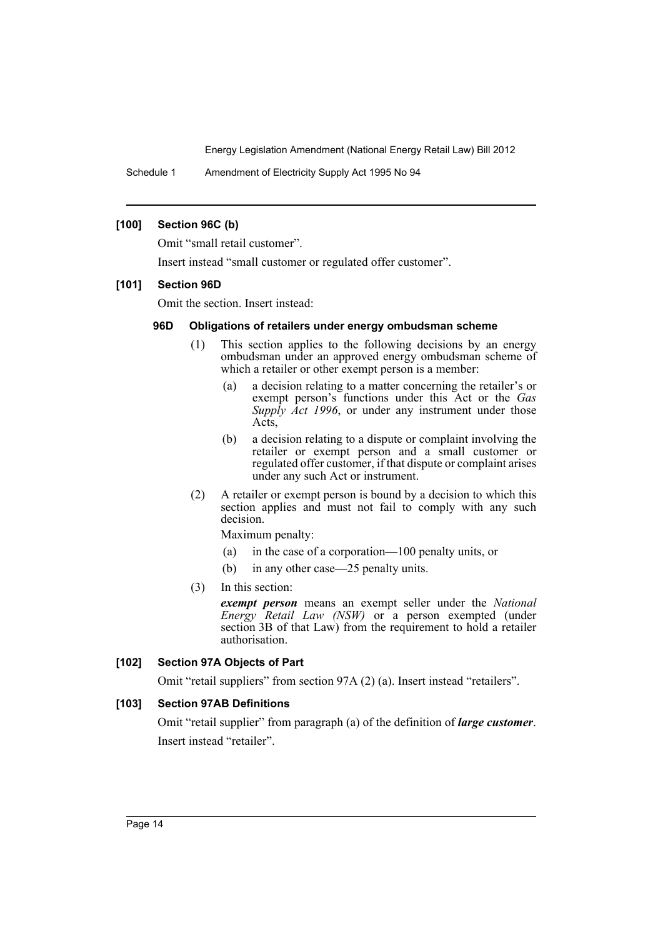Schedule 1 Amendment of Electricity Supply Act 1995 No 94

# **[100] Section 96C (b)**

Omit "small retail customer".

Insert instead "small customer or regulated offer customer".

### **[101] Section 96D**

Omit the section. Insert instead:

# **96D Obligations of retailers under energy ombudsman scheme**

- (1) This section applies to the following decisions by an energy ombudsman under an approved energy ombudsman scheme of which a retailer or other exempt person is a member:
	- (a) a decision relating to a matter concerning the retailer's or exempt person's functions under this Act or the *Gas Supply Act 1996*, or under any instrument under those Acts,
	- (b) a decision relating to a dispute or complaint involving the retailer or exempt person and a small customer or regulated offer customer, if that dispute or complaint arises under any such Act or instrument.
- (2) A retailer or exempt person is bound by a decision to which this section applies and must not fail to comply with any such decision.

Maximum penalty:

- (a) in the case of a corporation—100 penalty units, or
- (b) in any other case—25 penalty units.
- (3) In this section:

*exempt person* means an exempt seller under the *National Energy Retail Law (NSW)* or a person exempted (under section 3B of that Law) from the requirement to hold a retailer authorisation.

# **[102] Section 97A Objects of Part**

Omit "retail suppliers" from section 97A (2) (a). Insert instead "retailers".

# **[103] Section 97AB Definitions**

Omit "retail supplier" from paragraph (a) of the definition of *large customer*. Insert instead "retailer".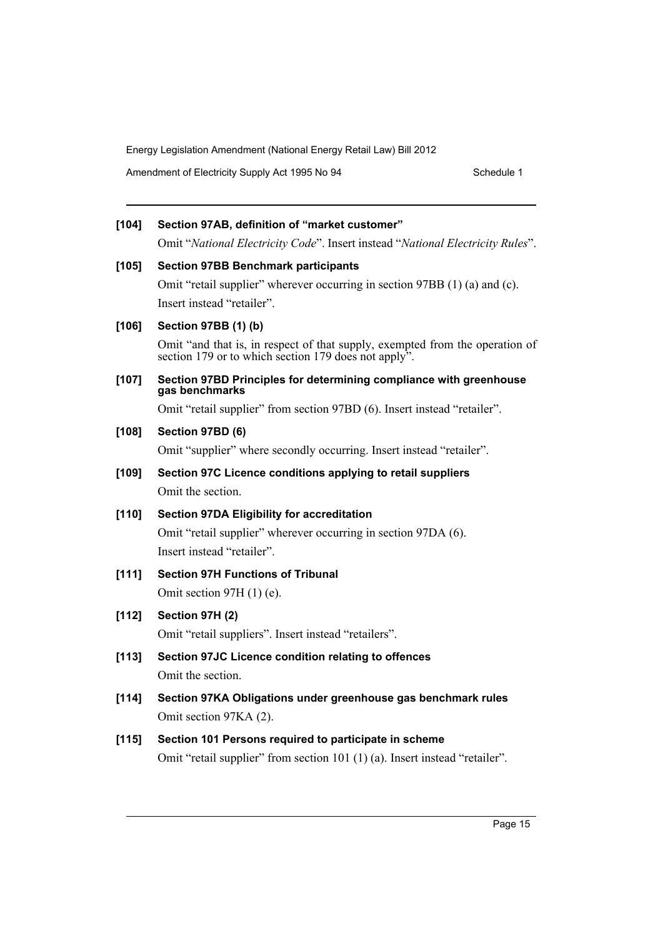Amendment of Electricity Supply Act 1995 No 94 Schedule 1

# **[104] Section 97AB, definition of "market customer"** Omit "*National Electricity Code*". Insert instead "*National Electricity Rules*". **[105] Section 97BB Benchmark participants** Omit "retail supplier" wherever occurring in section 97BB (1) (a) and (c). Insert instead "retailer". **[106] Section 97BB (1) (b)** Omit "and that is, in respect of that supply, exempted from the operation of section 179 or to which section 179 does not apply".

**[107] Section 97BD Principles for determining compliance with greenhouse gas benchmarks**

Omit "retail supplier" from section 97BD (6). Insert instead "retailer".

# **[108] Section 97BD (6)**

Omit "supplier" where secondly occurring. Insert instead "retailer".

**[109] Section 97C Licence conditions applying to retail suppliers** Omit the section.

# **[110] Section 97DA Eligibility for accreditation**

Omit "retail supplier" wherever occurring in section 97DA (6). Insert instead "retailer".

# **[111] Section 97H Functions of Tribunal**

Omit section 97H (1) (e).

# **[112] Section 97H (2)**

Omit "retail suppliers". Insert instead "retailers".

- **[113] Section 97JC Licence condition relating to offences** Omit the section.
- **[114] Section 97KA Obligations under greenhouse gas benchmark rules** Omit section 97KA (2).

# **[115] Section 101 Persons required to participate in scheme**

Omit "retail supplier" from section 101 (1) (a). Insert instead "retailer".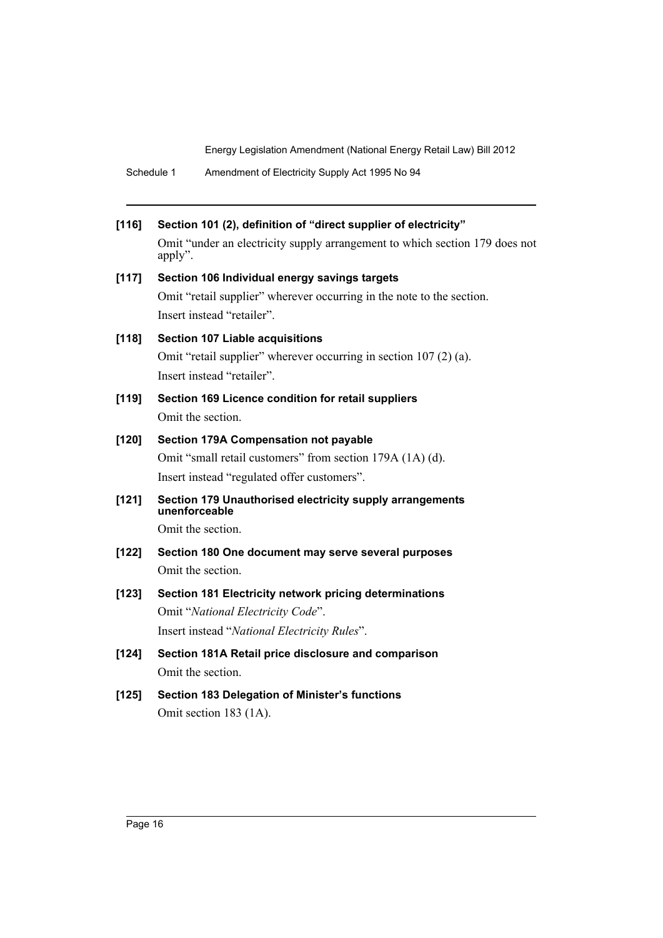| Schedule 1 | Amendment of Electricity Supply Act 1995 No 94 |  |
|------------|------------------------------------------------|--|
|------------|------------------------------------------------|--|

| [116]   | Section 101 (2), definition of "direct supplier of electricity"                                     |
|---------|-----------------------------------------------------------------------------------------------------|
|         | Omit "under an electricity supply arrangement to which section 179 does not<br>apply".              |
| [117]   | Section 106 Individual energy savings targets                                                       |
|         | Omit "retail supplier" wherever occurring in the note to the section.<br>Insert instead "retailer". |
| [118]   | <b>Section 107 Liable acquisitions</b>                                                              |
|         | Omit "retail supplier" wherever occurring in section 107 (2) (a).<br>Insert instead "retailer".     |
| [119]   | Section 169 Licence condition for retail suppliers                                                  |
|         | Omit the section.                                                                                   |
| $[120]$ | Section 179A Compensation not payable                                                               |
|         | Omit "small retail customers" from section 179A (1A) (d).                                           |
|         | Insert instead "regulated offer customers".                                                         |
| [121]   | Section 179 Unauthorised electricity supply arrangements<br>unenforceable                           |
|         | Omit the section.                                                                                   |
| $[122]$ | Section 180 One document may serve several purposes                                                 |
|         | Omit the section.                                                                                   |
| [123]   | Section 181 Electricity network pricing determinations                                              |
|         | Omit "National Electricity Code".                                                                   |
|         | Insert instead "National Electricity Rules".                                                        |
| $[124]$ | Section 181A Retail price disclosure and comparison                                                 |
|         | Omit the section.                                                                                   |
| [125]   | Section 183 Delegation of Minister's functions                                                      |

Omit section 183 (1A).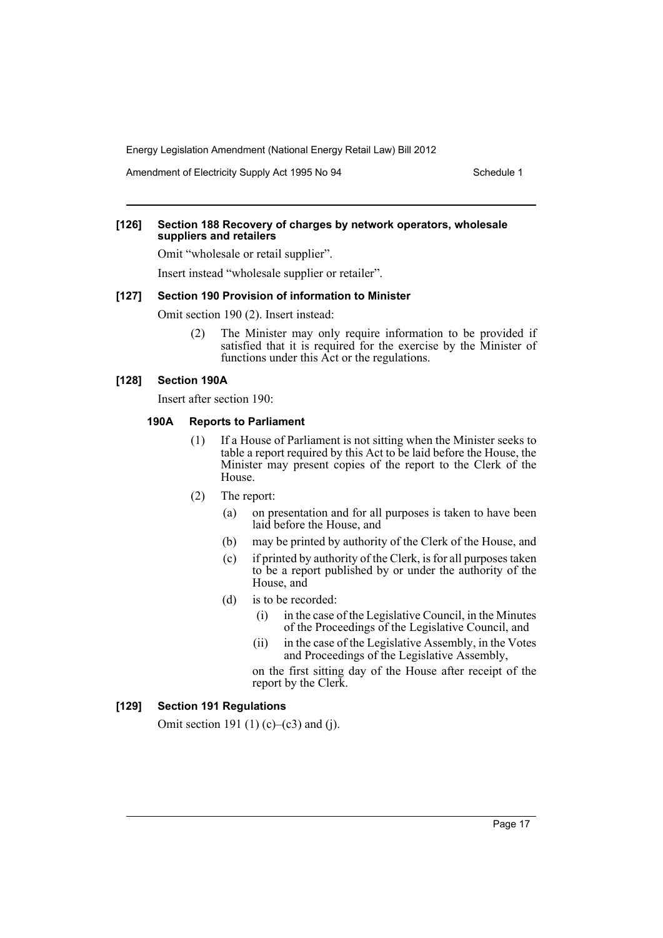Amendment of Electricity Supply Act 1995 No 94 Schedule 1

### **[126] Section 188 Recovery of charges by network operators, wholesale suppliers and retailers**

Omit "wholesale or retail supplier".

Insert instead "wholesale supplier or retailer".

### **[127] Section 190 Provision of information to Minister**

Omit section 190 (2). Insert instead:

(2) The Minister may only require information to be provided if satisfied that it is required for the exercise by the Minister of functions under this Act or the regulations.

#### **[128] Section 190A**

Insert after section 190:

### **190A Reports to Parliament**

- (1) If a House of Parliament is not sitting when the Minister seeks to table a report required by this Act to be laid before the House, the Minister may present copies of the report to the Clerk of the House.
- (2) The report:
	- (a) on presentation and for all purposes is taken to have been laid before the House, and
	- (b) may be printed by authority of the Clerk of the House, and
	- (c) if printed by authority of the Clerk, is for all purposes taken to be a report published by or under the authority of the House, and
	- (d) is to be recorded:
		- (i) in the case of the Legislative Council, in the Minutes of the Proceedings of the Legislative Council, and
		- (ii) in the case of the Legislative Assembly, in the Votes and Proceedings of the Legislative Assembly,

on the first sitting day of the House after receipt of the report by the Clerk.

### **[129] Section 191 Regulations**

Omit section 191 (1) (c)–(c3) and (j).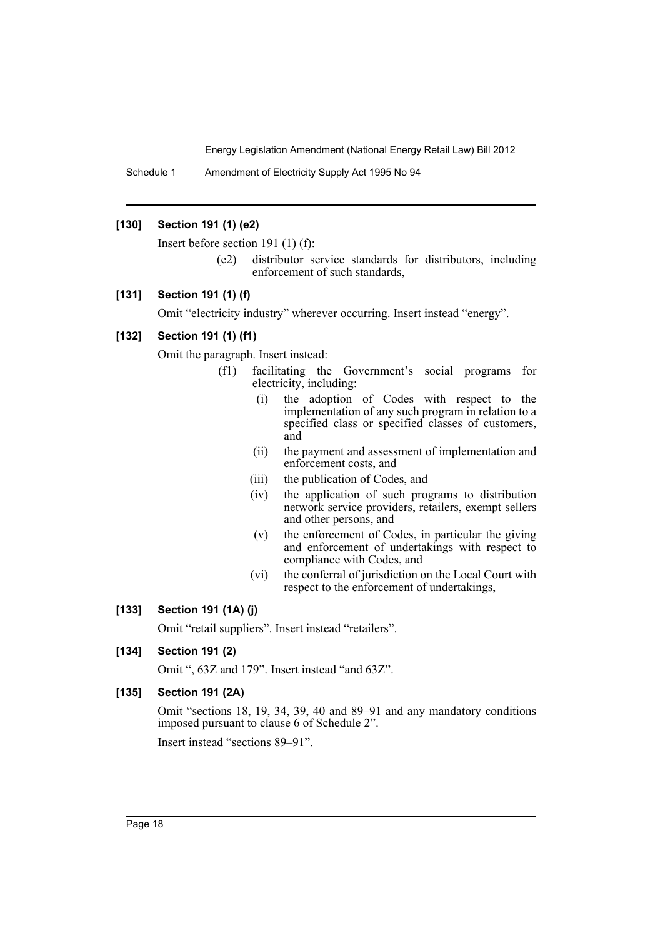Schedule 1 Amendment of Electricity Supply Act 1995 No 94

## **[130] Section 191 (1) (e2)**

Insert before section 191 (1) (f):

(e2) distributor service standards for distributors, including enforcement of such standards,

### **[131] Section 191 (1) (f)**

Omit "electricity industry" wherever occurring. Insert instead "energy".

# **[132] Section 191 (1) (f1)**

Omit the paragraph. Insert instead:

- (f1) facilitating the Government's social programs for electricity, including:
	- (i) the adoption of Codes with respect to the implementation of any such program in relation to a specified class or specified classes of customers, and
	- (ii) the payment and assessment of implementation and enforcement costs, and
	- (iii) the publication of Codes, and
	- (iv) the application of such programs to distribution network service providers, retailers, exempt sellers and other persons, and
	- (v) the enforcement of Codes, in particular the giving and enforcement of undertakings with respect to compliance with Codes, and
	- (vi) the conferral of jurisdiction on the Local Court with respect to the enforcement of undertakings,

# **[133] Section 191 (1A) (j)**

Omit "retail suppliers". Insert instead "retailers".

# **[134] Section 191 (2)**

Omit ", 63Z and 179". Insert instead "and 63Z".

# **[135] Section 191 (2A)**

Omit "sections 18, 19, 34, 39, 40 and 89–91 and any mandatory conditions imposed pursuant to clause 6 of Schedule 2".

Insert instead "sections 89–91".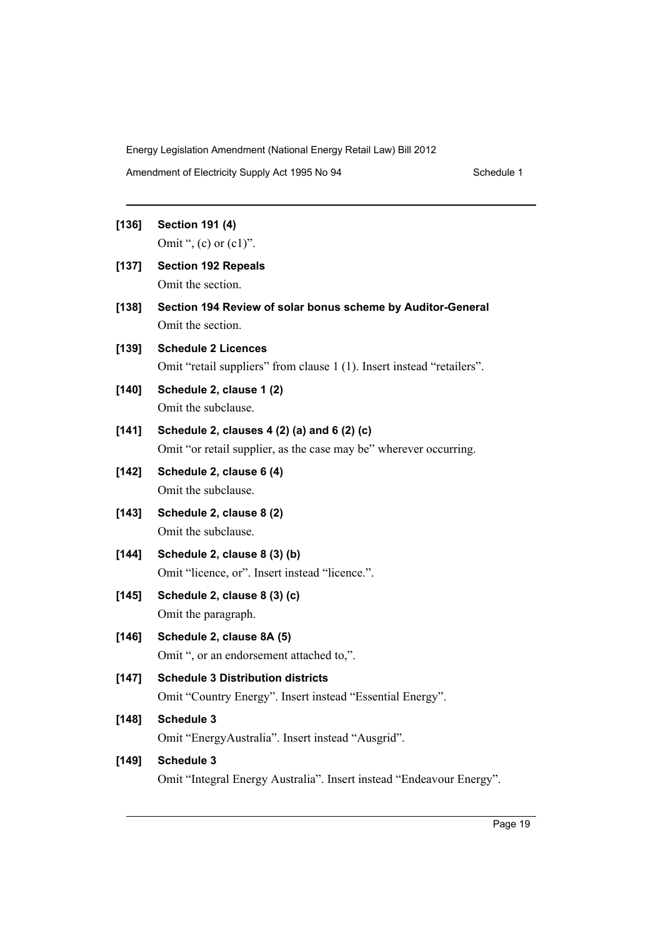Amendment of Electricity Supply Act 1995 No 94 Schedule 1

# **[136] Section 191 (4)** Omit ",  $(c)$  or  $(c1)$ ".

- 
- **[137] Section 192 Repeals** Omit the section.
- **[138] Section 194 Review of solar bonus scheme by Auditor-General** Omit the section.
- **[139] Schedule 2 Licences** Omit "retail suppliers" from clause 1 (1). Insert instead "retailers".
- **[140] Schedule 2, clause 1 (2)** Omit the subclause.
- **[141] Schedule 2, clauses 4 (2) (a) and 6 (2) (c)** Omit "or retail supplier, as the case may be" wherever occurring.
- **[142] Schedule 2, clause 6 (4)** Omit the subclause.
- **[143] Schedule 2, clause 8 (2)** Omit the subclause.
- **[144] Schedule 2, clause 8 (3) (b)** Omit "licence, or". Insert instead "licence.".
- **[145] Schedule 2, clause 8 (3) (c)** Omit the paragraph.
- **[146] Schedule 2, clause 8A (5)** Omit ", or an endorsement attached to,".
- **[147] Schedule 3 Distribution districts** Omit "Country Energy". Insert instead "Essential Energy".

# **[148] Schedule 3**

Omit "EnergyAustralia". Insert instead "Ausgrid".

# **[149] Schedule 3**

Omit "Integral Energy Australia". Insert instead "Endeavour Energy".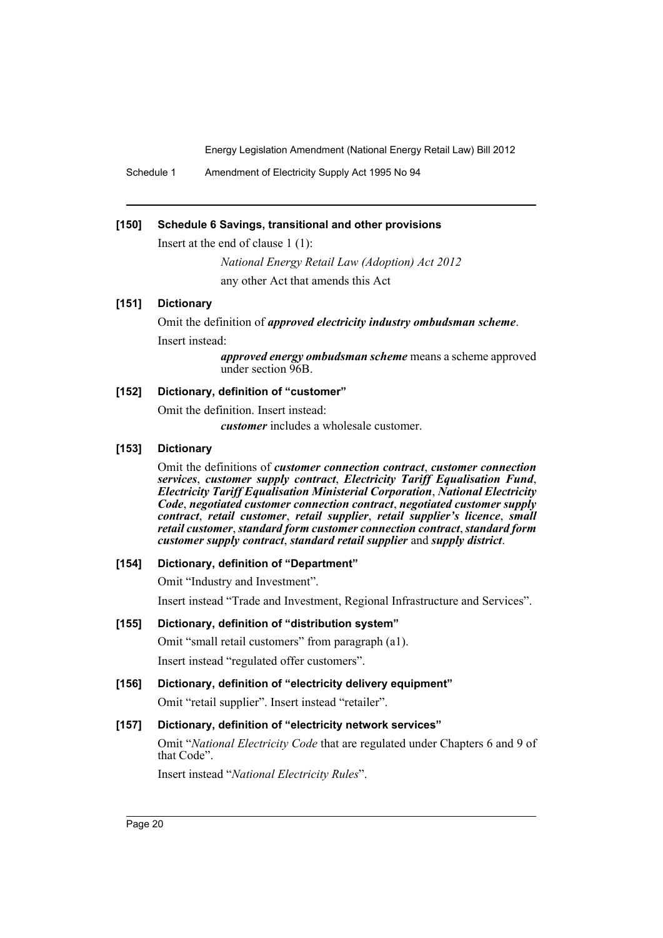Schedule 1 Amendment of Electricity Supply Act 1995 No 94

### **[150] Schedule 6 Savings, transitional and other provisions**

Insert at the end of clause 1 (1):

*National Energy Retail Law (Adoption) Act 2012* any other Act that amends this Act

### **[151] Dictionary**

Omit the definition of *approved electricity industry ombudsman scheme*. Insert instead:

> *approved energy ombudsman scheme* means a scheme approved under section 96B.

# **[152] Dictionary, definition of "customer"**

Omit the definition. Insert instead: *customer* includes a wholesale customer.

### **[153] Dictionary**

Omit the definitions of *customer connection contract*, *customer connection services*, *customer supply contract*, *Electricity Tariff Equalisation Fund*, *Electricity Tariff Equalisation Ministerial Corporation*, *National Electricity Code*, *negotiated customer connection contract*, *negotiated customer supply contract*, *retail customer*, *retail supplier*, *retail supplier's licence*, *small retail customer*, *standard form customer connection contract*, *standard form customer supply contract*, *standard retail supplier* and *supply district*.

#### **[154] Dictionary, definition of "Department"**

Omit "Industry and Investment".

Insert instead "Trade and Investment, Regional Infrastructure and Services".

#### **[155] Dictionary, definition of "distribution system"**

Omit "small retail customers" from paragraph (a1). Insert instead "regulated offer customers".

**[156] Dictionary, definition of "electricity delivery equipment"**

Omit "retail supplier". Insert instead "retailer".

# **[157] Dictionary, definition of "electricity network services"**

Omit "*National Electricity Code* that are regulated under Chapters 6 and 9 of that Code".

Insert instead "*National Electricity Rules*".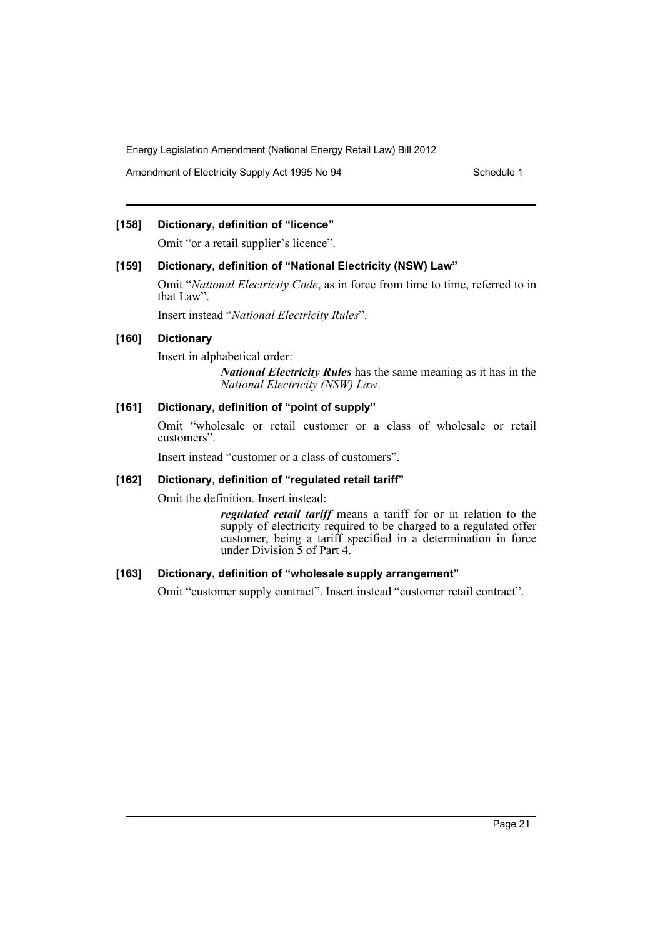Amendment of Electricity Supply Act 1995 No 94 Schedule 1

# **[158] Dictionary, definition of "licence"**

Omit "or a retail supplier's licence".

### **[159] Dictionary, definition of "National Electricity (NSW) Law"**

Omit "*National Electricity Code*, as in force from time to time, referred to in that Law".

Insert instead "*National Electricity Rules*".

# **[160] Dictionary**

Insert in alphabetical order:

*National Electricity Rules* has the same meaning as it has in the *National Electricity (NSW) Law*.

### **[161] Dictionary, definition of "point of supply"**

Omit "wholesale or retail customer or a class of wholesale or retail customers".

Insert instead "customer or a class of customers".

### **[162] Dictionary, definition of "regulated retail tariff"**

Omit the definition. Insert instead:

*regulated retail tariff* means a tariff for or in relation to the supply of electricity required to be charged to a regulated offer customer, being a tariff specified in a determination in force under Division 5 of Part 4.

# **[163] Dictionary, definition of "wholesale supply arrangement"**

Omit "customer supply contract". Insert instead "customer retail contract".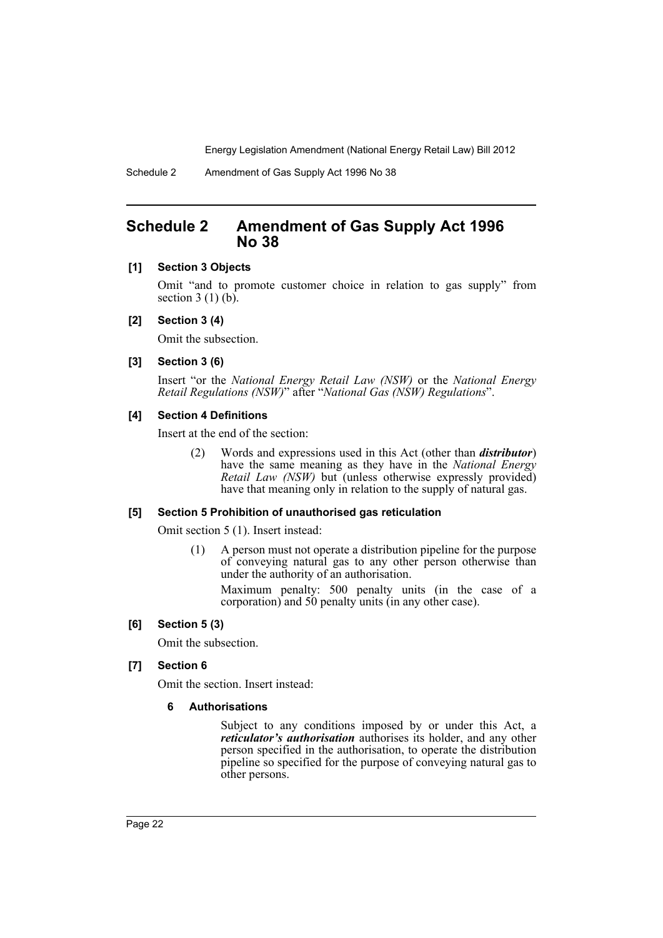# <span id="page-23-0"></span>**Schedule 2 Amendment of Gas Supply Act 1996 No 38**

### **[1] Section 3 Objects**

Omit "and to promote customer choice in relation to gas supply" from section  $3(1)(b)$ .

#### **[2] Section 3 (4)**

Omit the subsection.

### **[3] Section 3 (6)**

Insert "or the *National Energy Retail Law (NSW)* or the *National Energy Retail Regulations (NSW)*" after "*National Gas (NSW) Regulations*".

### **[4] Section 4 Definitions**

Insert at the end of the section:

(2) Words and expressions used in this Act (other than *distributor*) have the same meaning as they have in the *National Energy Retail Law (NSW)* but (unless otherwise expressly provided) have that meaning only in relation to the supply of natural gas.

#### **[5] Section 5 Prohibition of unauthorised gas reticulation**

Omit section 5 (1). Insert instead:

(1) A person must not operate a distribution pipeline for the purpose of conveying natural gas to any other person otherwise than under the authority of an authorisation.

Maximum penalty: 500 penalty units (in the case of a corporation) and 50 penalty units (in any other case).

### **[6] Section 5 (3)**

Omit the subsection.

### **[7] Section 6**

Omit the section. Insert instead:

### **6 Authorisations**

Subject to any conditions imposed by or under this Act, a *reticulator's authorisation* authorises its holder, and any other person specified in the authorisation, to operate the distribution pipeline so specified for the purpose of conveying natural gas to other persons.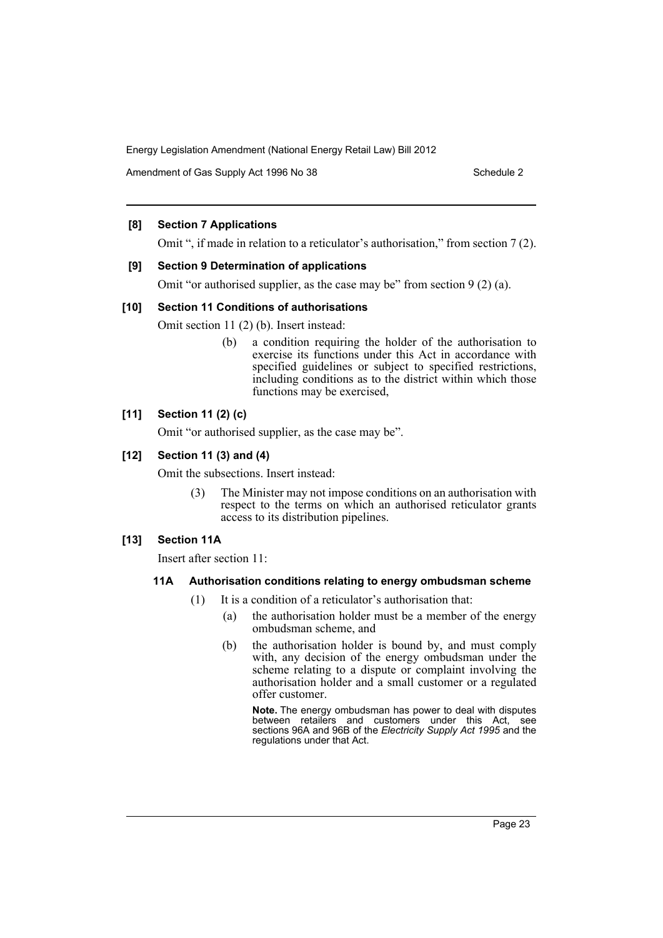Amendment of Gas Supply Act 1996 No 38 Schedule 2 Schedule 2

# **[8] Section 7 Applications**

Omit ", if made in relation to a reticulator's authorisation," from section 7 (2).

# **[9] Section 9 Determination of applications**

Omit "or authorised supplier, as the case may be" from section 9 (2) (a).

### **[10] Section 11 Conditions of authorisations**

Omit section 11 (2) (b). Insert instead:

(b) a condition requiring the holder of the authorisation to exercise its functions under this Act in accordance with specified guidelines or subject to specified restrictions, including conditions as to the district within which those functions may be exercised,

# **[11] Section 11 (2) (c)**

Omit "or authorised supplier, as the case may be".

# **[12] Section 11 (3) and (4)**

Omit the subsections. Insert instead:

(3) The Minister may not impose conditions on an authorisation with respect to the terms on which an authorised reticulator grants access to its distribution pipelines.

# **[13] Section 11A**

Insert after section 11:

### **11A Authorisation conditions relating to energy ombudsman scheme**

- (1) It is a condition of a reticulator's authorisation that:
	- (a) the authorisation holder must be a member of the energy ombudsman scheme, and
	- (b) the authorisation holder is bound by, and must comply with, any decision of the energy ombudsman under the scheme relating to a dispute or complaint involving the authorisation holder and a small customer or a regulated offer customer.

**Note.** The energy ombudsman has power to deal with disputes between retailers and customers under this Act, see sections 96A and 96B of the *Electricity Supply Act 1995* and the regulations under that Act.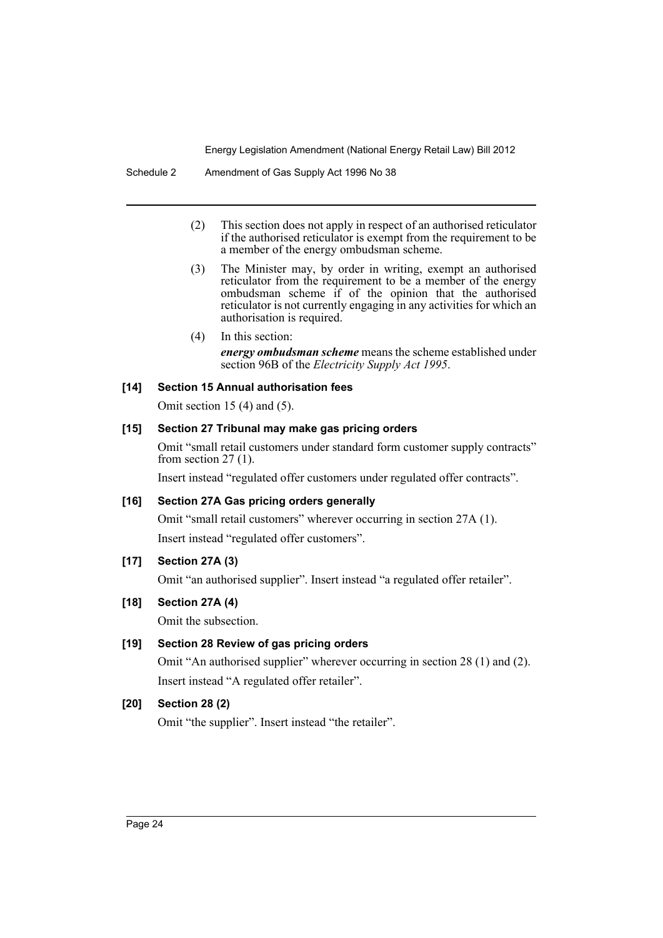- (2) This section does not apply in respect of an authorised reticulator if the authorised reticulator is exempt from the requirement to be a member of the energy ombudsman scheme.
- (3) The Minister may, by order in writing, exempt an authorised reticulator from the requirement to be a member of the energy ombudsman scheme if of the opinion that the authorised reticulator is not currently engaging in any activities for which an authorisation is required.
- (4) In this section: *energy ombudsman scheme* means the scheme established under section 96B of the *Electricity Supply Act 1995*.

### **[14] Section 15 Annual authorisation fees**

Omit section 15 (4) and (5).

### **[15] Section 27 Tribunal may make gas pricing orders**

Omit "small retail customers under standard form customer supply contracts" from section  $27(1)$ .

Insert instead "regulated offer customers under regulated offer contracts".

# **[16] Section 27A Gas pricing orders generally**

Omit "small retail customers" wherever occurring in section 27A (1). Insert instead "regulated offer customers".

# **[17] Section 27A (3)**

Omit "an authorised supplier". Insert instead "a regulated offer retailer".

# **[18] Section 27A (4)**

Omit the subsection.

# **[19] Section 28 Review of gas pricing orders**

Omit "An authorised supplier" wherever occurring in section 28 (1) and (2). Insert instead "A regulated offer retailer".

# **[20] Section 28 (2)**

Omit "the supplier". Insert instead "the retailer".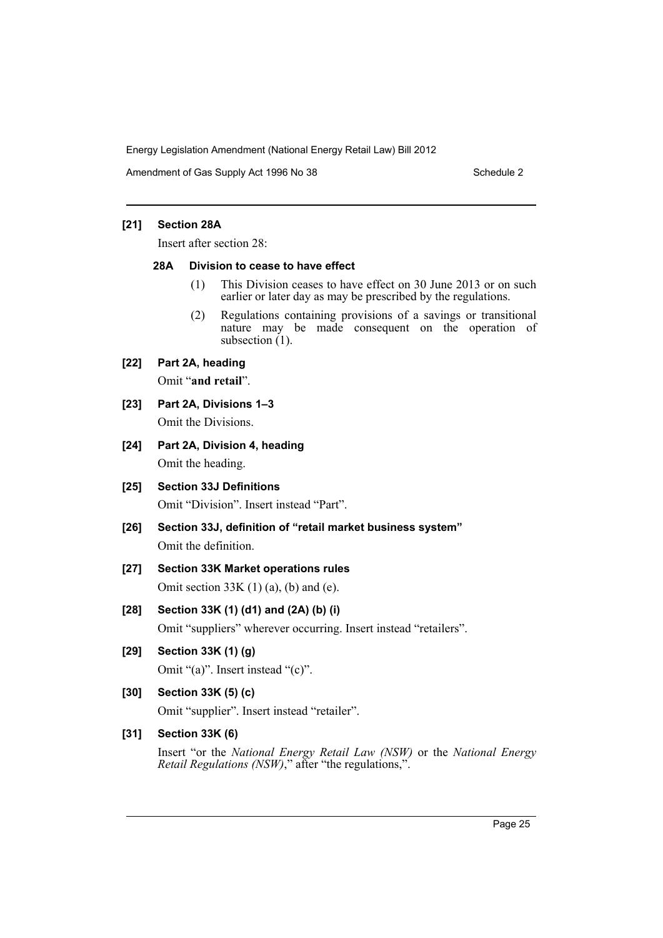Amendment of Gas Supply Act 1996 No 38 Schedule 2 Schedule 2

# **[21] Section 28A**

Insert after section 28:

### **28A Division to cease to have effect**

- (1) This Division ceases to have effect on 30 June 2013 or on such earlier or later day as may be prescribed by the regulations.
- (2) Regulations containing provisions of a savings or transitional nature may be made consequent on the operation of subsection  $(1)$ .

# **[22] Part 2A, heading**

Omit "**and retail**".

- **[23] Part 2A, Divisions 1–3** Omit the Divisions.
- **[24] Part 2A, Division 4, heading** Omit the heading.
- **[25] Section 33J Definitions** Omit "Division". Insert instead "Part".
- **[26] Section 33J, definition of "retail market business system"** Omit the definition.
- **[27] Section 33K Market operations rules** Omit section  $33K(1)(a)$ , (b) and (e).

**[28] Section 33K (1) (d1) and (2A) (b) (i)** Omit "suppliers" wherever occurring. Insert instead "retailers".

- **[29] Section 33K (1) (g)** Omit "(a)". Insert instead "(c)".
- **[30] Section 33K (5) (c)** Omit "supplier". Insert instead "retailer".

# **[31] Section 33K (6)**

Insert "or the *National Energy Retail Law (NSW)* or the *National Energy Retail Regulations (NSW)*," after "the regulations,".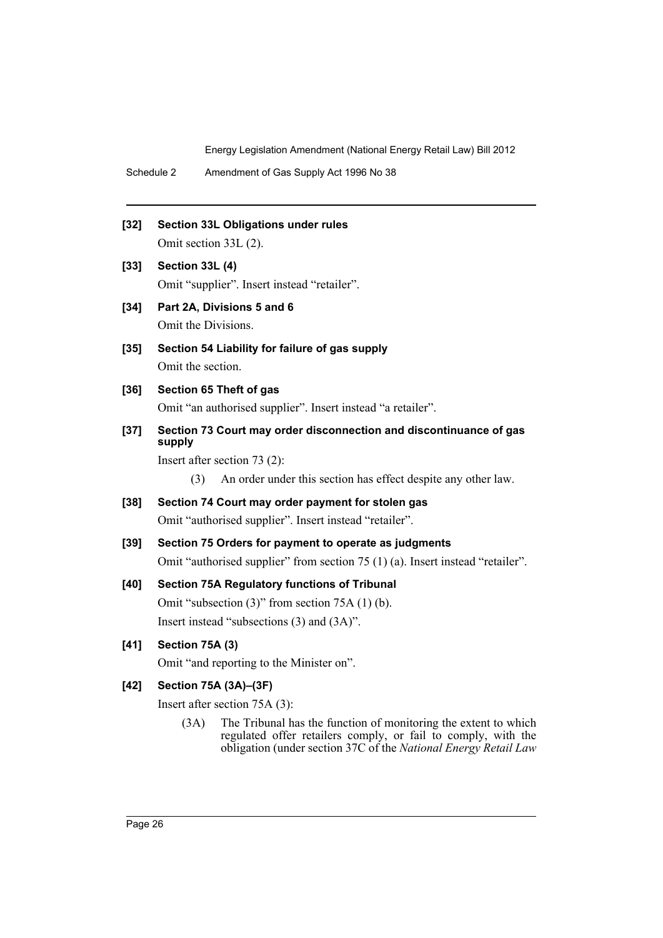- Schedule 2 Amendment of Gas Supply Act 1996 No 38
- **[32] Section 33L Obligations under rules**

Omit section 33L (2).

- **[33] Section 33L (4)** Omit "supplier". Insert instead "retailer".
- **[34] Part 2A, Divisions 5 and 6** Omit the Divisions.
- **[35] Section 54 Liability for failure of gas supply** Omit the section.
- **[36] Section 65 Theft of gas** Omit "an authorised supplier". Insert instead "a retailer".
- **[37] Section 73 Court may order disconnection and discontinuance of gas supply**

Insert after section 73 (2):

(3) An order under this section has effect despite any other law.

- **[38] Section 74 Court may order payment for stolen gas** Omit "authorised supplier". Insert instead "retailer".
- **[39] Section 75 Orders for payment to operate as judgments** Omit "authorised supplier" from section 75 (1) (a). Insert instead "retailer".

# **[40] Section 75A Regulatory functions of Tribunal**

Omit "subsection (3)" from section 75A (1) (b). Insert instead "subsections (3) and (3A)".

# **[41] Section 75A (3)**

Omit "and reporting to the Minister on".

# **[42] Section 75A (3A)–(3F)**

Insert after section 75A (3):

(3A) The Tribunal has the function of monitoring the extent to which regulated offer retailers comply, or fail to comply, with the obligation (under section 37C of the *National Energy Retail Law*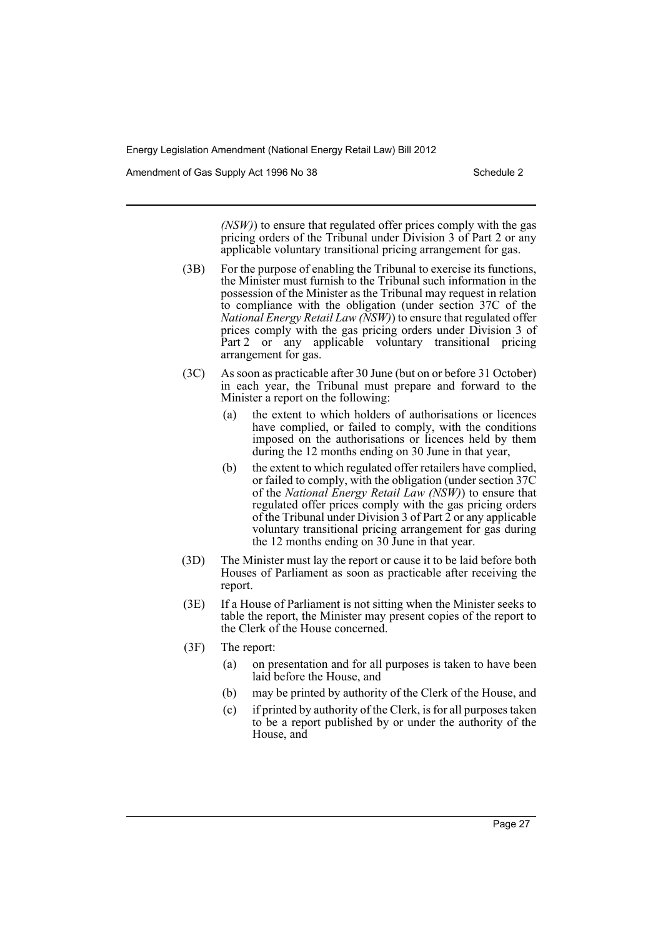Amendment of Gas Supply Act 1996 No 38 Schedule 2 Schedule 2

*(NSW)*) to ensure that regulated offer prices comply with the gas pricing orders of the Tribunal under Division 3 of Part 2 or any applicable voluntary transitional pricing arrangement for gas.

- (3B) For the purpose of enabling the Tribunal to exercise its functions, the Minister must furnish to the Tribunal such information in the possession of the Minister as the Tribunal may request in relation to compliance with the obligation (under section 37C of the *National Energy Retail Law (NSW)*) to ensure that regulated offer prices comply with the gas pricing orders under Division 3 of Part 2 or any applicable voluntary transitional pricing arrangement for gas.
- (3C) As soon as practicable after 30 June (but on or before 31 October) in each year, the Tribunal must prepare and forward to the Minister a report on the following:
	- (a) the extent to which holders of authorisations or licences have complied, or failed to comply, with the conditions imposed on the authorisations or licences held by them during the 12 months ending on 30 June in that year,
	- (b) the extent to which regulated offer retailers have complied, or failed to comply, with the obligation (under section 37C of the *National Energy Retail Law (NSW)*) to ensure that regulated offer prices comply with the gas pricing orders of the Tribunal under Division 3 of Part  $\tilde{2}$  or any applicable voluntary transitional pricing arrangement for gas during the 12 months ending on 30 June in that year.
- (3D) The Minister must lay the report or cause it to be laid before both Houses of Parliament as soon as practicable after receiving the report.
- (3E) If a House of Parliament is not sitting when the Minister seeks to table the report, the Minister may present copies of the report to the Clerk of the House concerned.
- (3F) The report:
	- (a) on presentation and for all purposes is taken to have been laid before the House, and
	- (b) may be printed by authority of the Clerk of the House, and
	- (c) if printed by authority of the Clerk, is for all purposes taken to be a report published by or under the authority of the House, and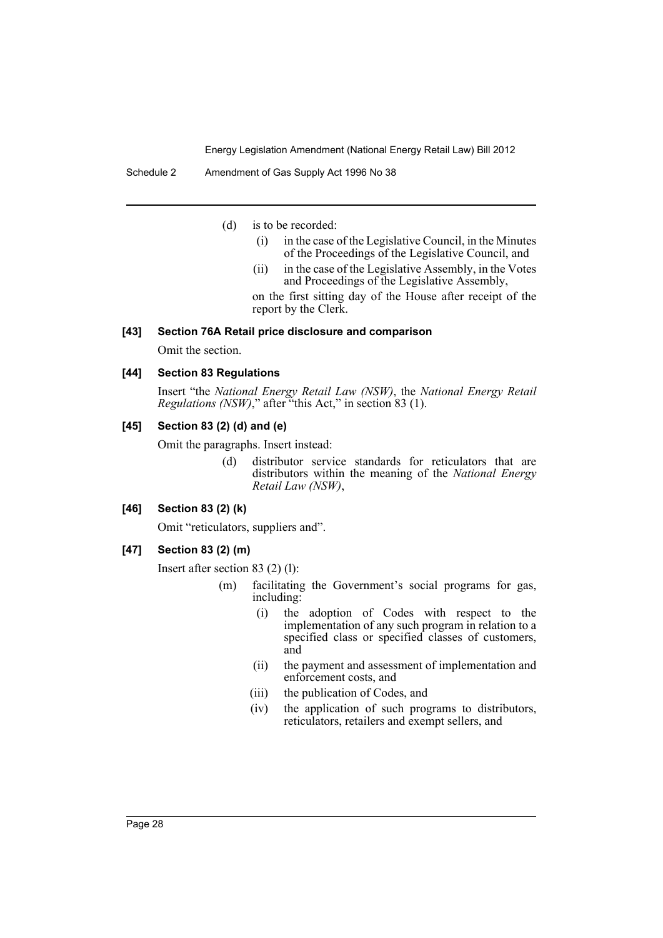(d) is to be recorded:

- (i) in the case of the Legislative Council, in the Minutes of the Proceedings of the Legislative Council, and
- (ii) in the case of the Legislative Assembly, in the Votes and Proceedings of the Legislative Assembly,

on the first sitting day of the House after receipt of the report by the Clerk.

### **[43] Section 76A Retail price disclosure and comparison**

Omit the section.

# **[44] Section 83 Regulations**

Insert "the *National Energy Retail Law (NSW)*, the *National Energy Retail Regulations (NSW)*," after "this Act," in section 83 (1).

### **[45] Section 83 (2) (d) and (e)**

Omit the paragraphs. Insert instead:

(d) distributor service standards for reticulators that are distributors within the meaning of the *National Energy Retail Law (NSW)*,

# **[46] Section 83 (2) (k)**

Omit "reticulators, suppliers and".

# **[47] Section 83 (2) (m)**

Insert after section 83 (2) (l):

- (m) facilitating the Government's social programs for gas, including:
	- (i) the adoption of Codes with respect to the implementation of any such program in relation to a specified class or specified classes of customers, and
	- (ii) the payment and assessment of implementation and enforcement costs, and
	- (iii) the publication of Codes, and
	- (iv) the application of such programs to distributors, reticulators, retailers and exempt sellers, and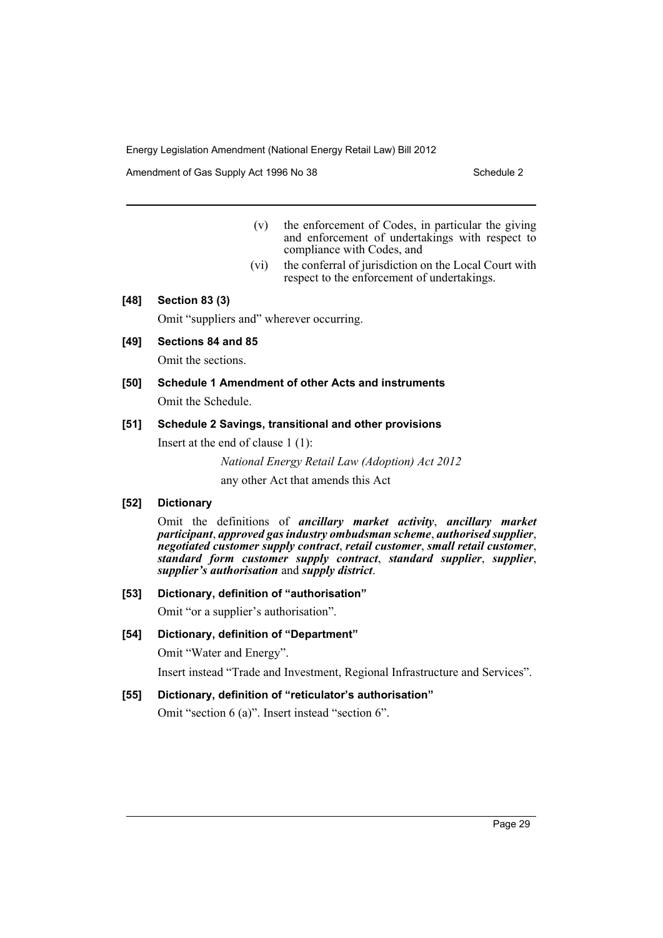Amendment of Gas Supply Act 1996 No 38 Schedule 2 Schedule 2

- (v) the enforcement of Codes, in particular the giving and enforcement of undertakings with respect to compliance with Codes, and
- (vi) the conferral of jurisdiction on the Local Court with respect to the enforcement of undertakings.

### **[48] Section 83 (3)**

Omit "suppliers and" wherever occurring.

**[49] Sections 84 and 85**

Omit the sections.

**[50] Schedule 1 Amendment of other Acts and instruments** Omit the Schedule.

### **[51] Schedule 2 Savings, transitional and other provisions**

Insert at the end of clause 1 (1):

*National Energy Retail Law (Adoption) Act 2012*

any other Act that amends this Act

### **[52] Dictionary**

Omit the definitions of *ancillary market activity*, *ancillary market participant*, *approved gas industry ombudsman scheme*, *authorised supplier*, *negotiated customer supply contract*, *retail customer*, *small retail customer*, *standard form customer supply contract*, *standard supplier*, *supplier*, *supplier's authorisation* and *supply district*.

### **[53] Dictionary, definition of "authorisation"**

Omit "or a supplier's authorisation".

### **[54] Dictionary, definition of "Department"**

Omit "Water and Energy".

Insert instead "Trade and Investment, Regional Infrastructure and Services".

### **[55] Dictionary, definition of "reticulator's authorisation"**

Omit "section 6 (a)". Insert instead "section 6".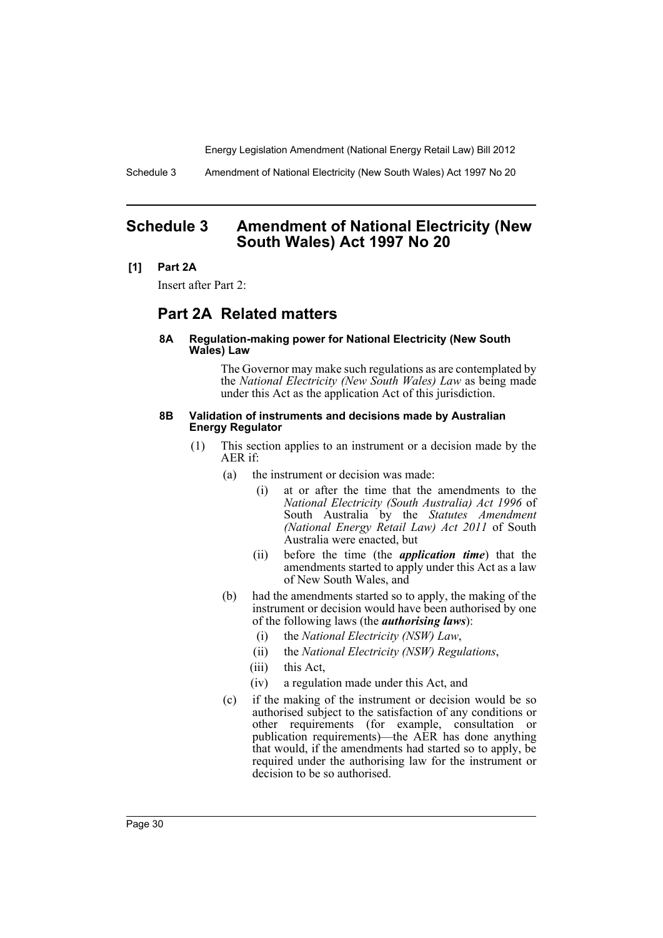Schedule 3 Amendment of National Electricity (New South Wales) Act 1997 No 20

# <span id="page-31-0"></span>**Schedule 3 Amendment of National Electricity (New South Wales) Act 1997 No 20**

### **[1] Part 2A**

Insert after Part 2:

# **Part 2A Related matters**

### **8A Regulation-making power for National Electricity (New South Wales) Law**

The Governor may make such regulations as are contemplated by the *National Electricity (New South Wales) Law* as being made under this Act as the application Act of this jurisdiction.

#### **8B Validation of instruments and decisions made by Australian Energy Regulator**

- (1) This section applies to an instrument or a decision made by the AER if:
	- (a) the instrument or decision was made:
		- (i) at or after the time that the amendments to the *National Electricity (South Australia) Act 1996* of South Australia by the *Statutes Amendment (National Energy Retail Law) Act 2011* of South Australia were enacted, but
		- (ii) before the time (the *application time*) that the amendments started to apply under this Act as a law of New South Wales, and
	- (b) had the amendments started so to apply, the making of the instrument or decision would have been authorised by one of the following laws (the *authorising laws*):
		- (i) the *National Electricity (NSW) Law*,
		- (ii) the *National Electricity (NSW) Regulations*,
		- (iii) this Act,
		- (iv) a regulation made under this Act, and
	- (c) if the making of the instrument or decision would be so authorised subject to the satisfaction of any conditions or other requirements (for example, consultation or publication requirements)—the AER has done anything that would, if the amendments had started so to apply, be required under the authorising law for the instrument or decision to be so authorised.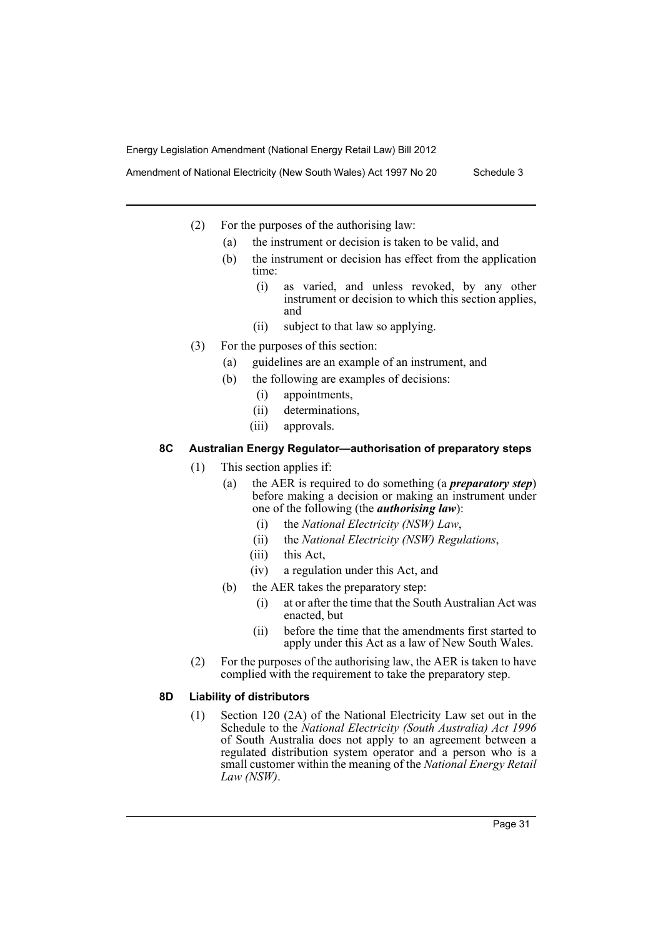Amendment of National Electricity (New South Wales) Act 1997 No 20 Schedule 3

- (2) For the purposes of the authorising law:
	- (a) the instrument or decision is taken to be valid, and
	- (b) the instrument or decision has effect from the application time:
		- (i) as varied, and unless revoked, by any other instrument or decision to which this section applies, and
		- (ii) subject to that law so applying.
- (3) For the purposes of this section:
	- (a) guidelines are an example of an instrument, and
	- (b) the following are examples of decisions:
		- (i) appointments,
		- (ii) determinations,
		- (iii) approvals.

# **8C Australian Energy Regulator—authorisation of preparatory steps**

- (1) This section applies if:
	- (a) the AER is required to do something (a *preparatory step*) before making a decision or making an instrument under one of the following (the *authorising law*):
		- (i) the *National Electricity (NSW) Law*,
		- (ii) the *National Electricity (NSW) Regulations*,
		- (iii) this Act,
		- (iv) a regulation under this Act, and
	- (b) the AER takes the preparatory step:
		- (i) at or after the time that the South Australian Act was enacted, but
		- (ii) before the time that the amendments first started to apply under this Act as a law of New South Wales.
- (2) For the purposes of the authorising law, the AER is taken to have complied with the requirement to take the preparatory step.

### **8D Liability of distributors**

(1) Section 120 (2A) of the National Electricity Law set out in the Schedule to the *National Electricity (South Australia) Act 1996* of South Australia does not apply to an agreement between a regulated distribution system operator and a person who is a small customer within the meaning of the *National Energy Retail Law (NSW)*.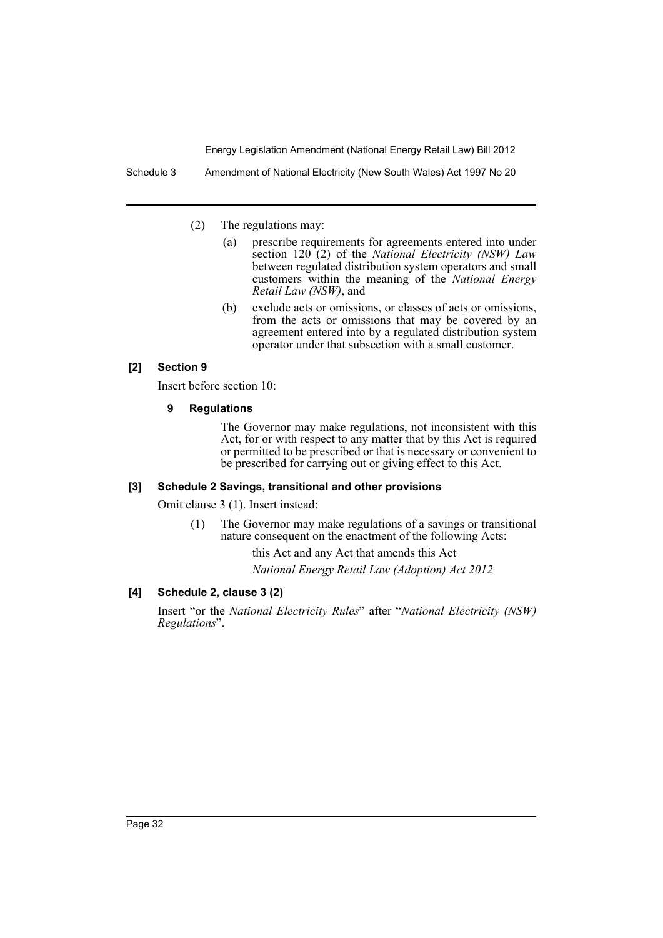Schedule 3 Amendment of National Electricity (New South Wales) Act 1997 No 20

- (2) The regulations may:
	- (a) prescribe requirements for agreements entered into under section 120 (2) of the *National Electricity (NSW) Law* between regulated distribution system operators and small customers within the meaning of the *National Energy Retail Law (NSW)*, and
	- (b) exclude acts or omissions, or classes of acts or omissions, from the acts or omissions that may be covered by an agreement entered into by a regulated distribution system operator under that subsection with a small customer.

## **[2] Section 9**

Insert before section 10:

### **9 Regulations**

The Governor may make regulations, not inconsistent with this Act, for or with respect to any matter that by this Act is required or permitted to be prescribed or that is necessary or convenient to be prescribed for carrying out or giving effect to this Act.

#### **[3] Schedule 2 Savings, transitional and other provisions**

Omit clause 3 (1). Insert instead:

(1) The Governor may make regulations of a savings or transitional nature consequent on the enactment of the following Acts:

this Act and any Act that amends this Act

*National Energy Retail Law (Adoption) Act 2012*

# **[4] Schedule 2, clause 3 (2)**

Insert "or the *National Electricity Rules*" after "*National Electricity (NSW) Regulations*".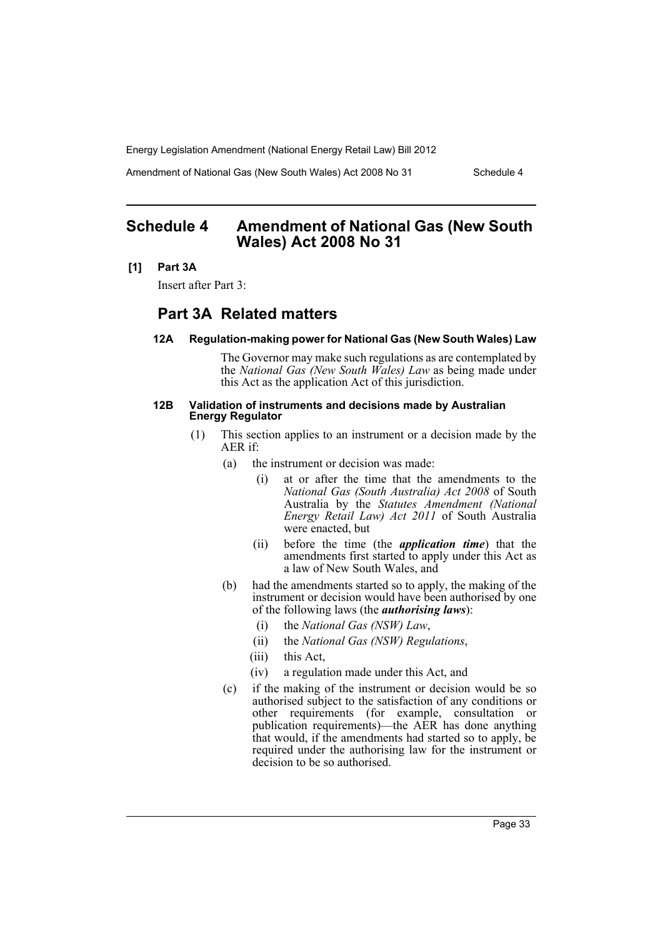Amendment of National Gas (New South Wales) Act 2008 No 31 Schedule 4

# <span id="page-34-0"></span>**Schedule 4 Amendment of National Gas (New South Wales) Act 2008 No 31**

### **[1] Part 3A**

Insert after Part 3:

# **Part 3A Related matters**

#### **12A Regulation-making power for National Gas (New South Wales) Law**

The Governor may make such regulations as are contemplated by the *National Gas (New South Wales) Law* as being made under this Act as the application Act of this jurisdiction.

#### **12B Validation of instruments and decisions made by Australian Energy Regulator**

- (1) This section applies to an instrument or a decision made by the AER if:
	- (a) the instrument or decision was made:
		- (i) at or after the time that the amendments to the *National Gas (South Australia) Act 2008* of South Australia by the *Statutes Amendment (National Energy Retail Law) Act 2011* of South Australia were enacted, but
		- (ii) before the time (the *application time*) that the amendments first started to apply under this Act as a law of New South Wales, and
	- (b) had the amendments started so to apply, the making of the instrument or decision would have been authorised by one of the following laws (the *authorising laws*):
		- (i) the *National Gas (NSW) Law*,
		- (ii) the *National Gas (NSW) Regulations*,
		- (iii) this Act,
		- (iv) a regulation made under this Act, and
	- (c) if the making of the instrument or decision would be so authorised subject to the satisfaction of any conditions or other requirements (for example, consultation or publication requirements)—the AER has done anything that would, if the amendments had started so to apply, be required under the authorising law for the instrument or decision to be so authorised.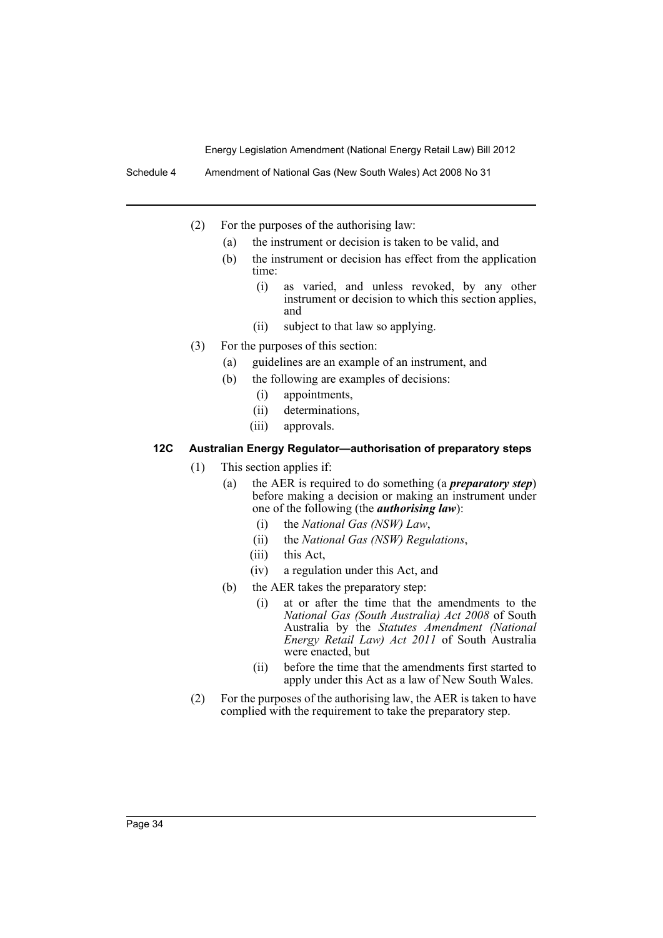Schedule 4 Amendment of National Gas (New South Wales) Act 2008 No 31

- (2) For the purposes of the authorising law:
	- (a) the instrument or decision is taken to be valid, and
	- (b) the instrument or decision has effect from the application time:
		- (i) as varied, and unless revoked, by any other instrument or decision to which this section applies, and
		- (ii) subject to that law so applying.
- (3) For the purposes of this section:
	- (a) guidelines are an example of an instrument, and
	- (b) the following are examples of decisions:
		- (i) appointments,
		- (ii) determinations,
		- (iii) approvals.

# **12C Australian Energy Regulator—authorisation of preparatory steps**

- (1) This section applies if:
	- (a) the AER is required to do something (a *preparatory step*) before making a decision or making an instrument under one of the following (the *authorising law*):
		- (i) the *National Gas (NSW) Law*,
		- (ii) the *National Gas (NSW) Regulations*,
		- (iii) this Act,
		- (iv) a regulation under this Act, and
	- (b) the AER takes the preparatory step:
		- (i) at or after the time that the amendments to the *National Gas (South Australia) Act 2008* of South Australia by the *Statutes Amendment (National Energy Retail Law) Act 2011* of South Australia were enacted, but
		- (ii) before the time that the amendments first started to apply under this Act as a law of New South Wales.
- (2) For the purposes of the authorising law, the AER is taken to have complied with the requirement to take the preparatory step.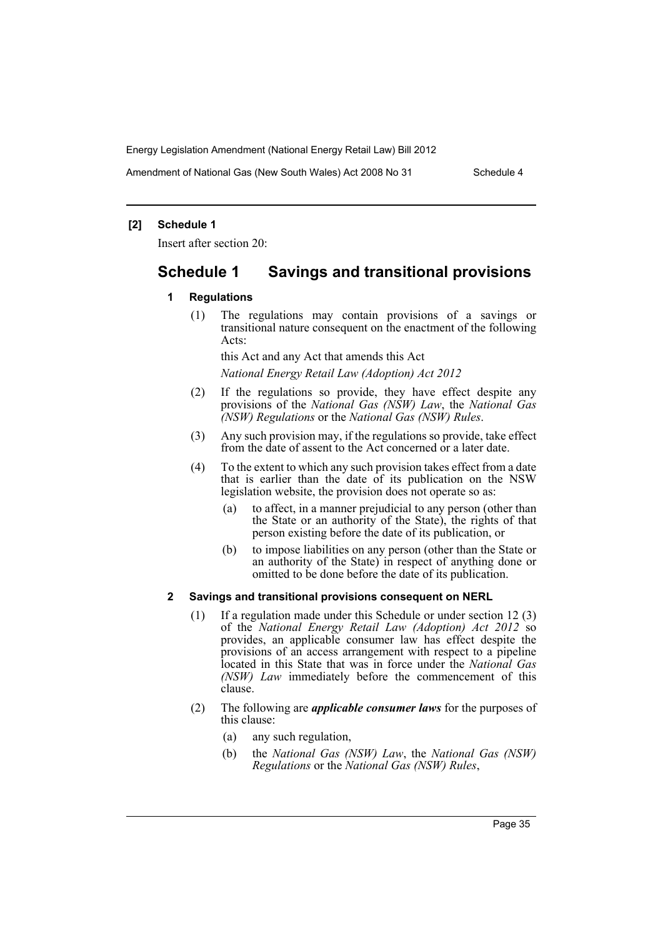Amendment of National Gas (New South Wales) Act 2008 No 31 Schedule 4

### **[2] Schedule 1**

Insert after section 20:

# **Schedule 1 Savings and transitional provisions**

### **1 Regulations**

(1) The regulations may contain provisions of a savings or transitional nature consequent on the enactment of the following Acts:

this Act and any Act that amends this Act

*National Energy Retail Law (Adoption) Act 2012*

- (2) If the regulations so provide, they have effect despite any provisions of the *National Gas (NSW) Law*, the *National Gas (NSW) Regulations* or the *National Gas (NSW) Rules*.
- (3) Any such provision may, if the regulations so provide, take effect from the date of assent to the Act concerned or a later date.
- (4) To the extent to which any such provision takes effect from a date that is earlier than the date of its publication on the NSW legislation website, the provision does not operate so as:
	- (a) to affect, in a manner prejudicial to any person (other than the State or an authority of the State), the rights of that person existing before the date of its publication, or
	- (b) to impose liabilities on any person (other than the State or an authority of the State) in respect of anything done or omitted to be done before the date of its publication.

### **2 Savings and transitional provisions consequent on NERL**

- (1) If a regulation made under this Schedule or under section 12 (3) of the *National Energy Retail Law (Adoption) Act 2012* so provides, an applicable consumer law has effect despite the provisions of an access arrangement with respect to a pipeline located in this State that was in force under the *National Gas (NSW) Law* immediately before the commencement of this clause.
- (2) The following are *applicable consumer laws* for the purposes of this clause:
	- (a) any such regulation,
	- (b) the *National Gas (NSW) Law*, the *National Gas (NSW) Regulations* or the *National Gas (NSW) Rules*,